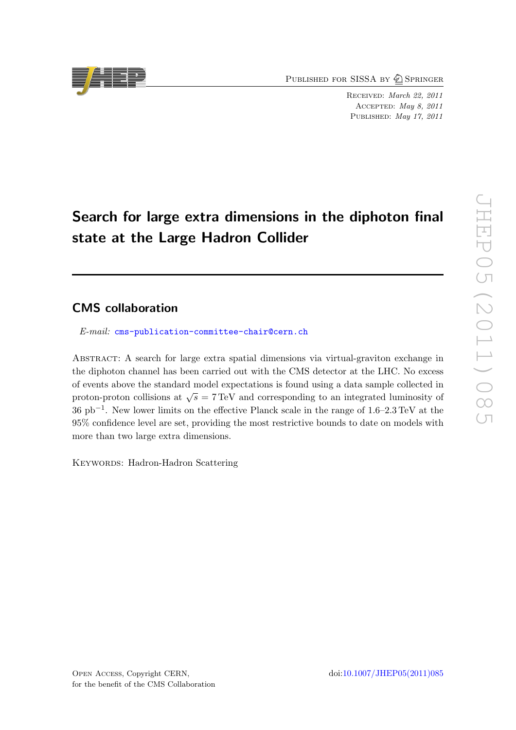PUBLISHED FOR SISSA BY 2 SPRINGER

Received: March 22, 2011 Accepted: May 8, 2011 PUBLISHED: May 17, 2011

# Search for large extra dimensions in the diphoton final state at the Large Hadron Collider

# CMS collaboration

E-mail: [cms-publication-committee-chair@cern.ch](mailto:cms-publication-committee-chair@cern.ch)

Abstract: A search for large extra spatial dimensions via virtual-graviton exchange in the diphoton channel has been carried out with the CMS detector at the LHC. No excess of events above the standard model expectations is found using a data sample collected in proton-proton collisions at  $\sqrt{s} = 7 \text{ TeV}$  and corresponding to an integrated luminosity of 36 pb−<sup>1</sup> . New lower limits on the effective Planck scale in the range of 1.6–2.3 TeV at the 95% confidence level are set, providing the most restrictive bounds to date on models with more than two large extra dimensions.

KEYWORDS: Hadron-Hadron Scattering

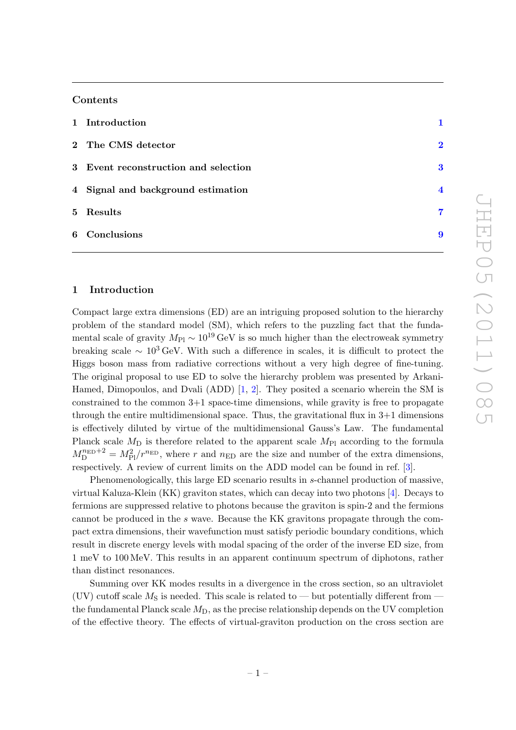#### Contents

| 1 Introduction                       |                         |
|--------------------------------------|-------------------------|
| 2 The CMS detector                   | $\mathbf 2$             |
| 3 Event reconstruction and selection | 3                       |
| 4 Signal and background estimation   | $\overline{\mathbf{4}}$ |
| 5 Results                            | 7                       |
| 6 Conclusions                        | 9                       |

### <span id="page-1-0"></span>1 Introduction

Compact large extra dimensions (ED) are an intriguing proposed solution to the hierarchy problem of the standard model (SM), which refers to the puzzling fact that the fundamental scale of gravity  $M_{\text{Pl}} \sim 10^{19} \text{ GeV}$  is so much higher than the electroweak symmetry breaking scale  $\sim 10^3 \text{ GeV}$ . With such a difference in scales, it is difficult to protect the Higgs boson mass from radiative corrections without a very high degree of fine-tuning. The original proposal to use ED to solve the hierarchy problem was presented by Arkani-Hamed, Dimopoulos, and Dvali (ADD) [\[1,](#page-26-0) [2\]](#page-26-1). They posited a scenario wherein the SM is constrained to the common 3+1 space-time dimensions, while gravity is free to propagate through the entire multidimensional space. Thus, the gravitational flux in  $3+1$  dimensions is effectively diluted by virtue of the multidimensional Gauss's Law. The fundamental Planck scale  $M_{\rm D}$  is therefore related to the apparent scale  $M_{\rm Pl}$  according to the formula  $M_{\text{D}}^{n_{\text{ED}}+2} = M_{\text{Pl}}^2/r^{n_{\text{ED}}}$ , where r and  $n_{\text{ED}}$  are the size and number of the extra dimensions, respectively. A review of current limits on the ADD model can be found in ref. [\[3\]](#page-26-2).

Phenomenologically, this large ED scenario results in s-channel production of massive, virtual Kaluza-Klein (KK) graviton states, which can decay into two photons [\[4\]](#page-26-3). Decays to fermions are suppressed relative to photons because the graviton is spin-2 and the fermions cannot be produced in the s wave. Because the KK gravitons propagate through the compact extra dimensions, their wavefunction must satisfy periodic boundary conditions, which result in discrete energy levels with modal spacing of the order of the inverse ED size, from 1 meV to 100 MeV. This results in an apparent continuum spectrum of diphotons, rather than distinct resonances.

Summing over KK modes results in a divergence in the cross section, so an ultraviolet (UV) cutoff scale  $M<sub>S</sub>$  is needed. This scale is related to — but potentially different from the fundamental Planck scale  $M<sub>D</sub>$ , as the precise relationship depends on the UV completion of the effective theory. The effects of virtual-graviton production on the cross section are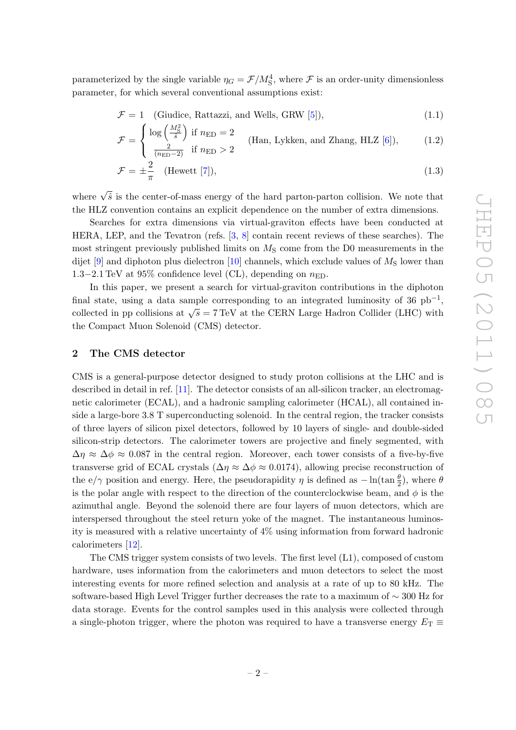parameterized by the single variable  $\eta_G = \mathcal{F}/M^4_S$ , where  $\mathcal F$  is an order-unity dimensionless parameter, for which several conventional assumptions exist:

$$
\mathcal{F} = 1 \quad \text{(Giudice, Rattazzi, and Wells, GRW [5]),} \tag{1.1}
$$
\n
$$
\int \log \left( \frac{M_S^2}{2} \right) \text{ if } \pi = 2
$$

<span id="page-2-1"></span>
$$
\mathcal{F} = \begin{cases} \log\left(\frac{M_S^2}{\hat{s}}\right) & \text{if } n_{\text{ED}} = 2\\ \frac{2}{(n_{\text{ED}} - 2)} & \text{if } n_{\text{ED}} > 2 \end{cases} \quad \text{(Han, Lykken, and Zhang, HLZ [6]),} \tag{1.2}
$$

$$
\mathcal{F} = \pm \frac{2}{\pi} \quad \text{(Hewett [7]),} \tag{1.3}
$$

where  $\sqrt{\hat{s}}$  is the center-of-mass energy of the hard parton-parton collision. We note that the HLZ convention contains an explicit dependence on the number of extra dimensions.

Searches for extra dimensions via virtual-graviton effects have been conducted at HERA, LEP, and the Tevatron (refs. [\[3,](#page-26-2) [8\]](#page-26-7) contain recent reviews of these searches). The most stringent previously published limits on  $M<sub>S</sub>$  come from the D0 measurements in the dijet [\[9\]](#page-26-8) and diphoton plus dielectron [\[10\]](#page-26-9) channels, which exclude values of  $M<sub>S</sub>$  lower than 1.3−2.1 TeV at 95% confidence level (CL), depending on  $n_{\text{ED}}$ .

In this paper, we present a search for virtual-graviton contributions in the diphoton final state, using a data sample corresponding to an integrated luminosity of 36  $pb^{-1}$ , collected in pp collisions at  $\sqrt{s} = 7 \text{ TeV}$  at the CERN Large Hadron Collider (LHC) with the Compact Muon Solenoid (CMS) detector.

#### <span id="page-2-0"></span>2 The CMS detector

CMS is a general-purpose detector designed to study proton collisions at the LHC and is described in detail in ref. [\[11\]](#page-26-10). The detector consists of an all-silicon tracker, an electromagnetic calorimeter (ECAL), and a hadronic sampling calorimeter (HCAL), all contained inside a large-bore 3.8 T superconducting solenoid. In the central region, the tracker consists of three layers of silicon pixel detectors, followed by 10 layers of single- and double-sided silicon-strip detectors. The calorimeter towers are projective and finely segmented, with  $\Delta \eta \approx \Delta \phi \approx 0.087$  in the central region. Moreover, each tower consists of a five-by-five transverse grid of ECAL crystals ( $\Delta \eta \approx \Delta \phi \approx 0.0174$ ), allowing precise reconstruction of the e/ $\gamma$  position and energy. Here, the pseudorapidity  $\eta$  is defined as  $-\ln(\tan \frac{\theta}{2})$ , where  $\theta$ is the polar angle with respect to the direction of the counterclockwise beam, and  $\phi$  is the azimuthal angle. Beyond the solenoid there are four layers of muon detectors, which are interspersed throughout the steel return yoke of the magnet. The instantaneous luminosity is measured with a relative uncertainty of 4% using information from forward hadronic calorimeters [\[12\]](#page-26-11).

The CMS trigger system consists of two levels. The first level (L1), composed of custom hardware, uses information from the calorimeters and muon detectors to select the most interesting events for more refined selection and analysis at a rate of up to 80 kHz. The software-based High Level Trigger further decreases the rate to a maximum of ∼ 300 Hz for data storage. Events for the control samples used in this analysis were collected through a single-photon trigger, where the photon was required to have a transverse energy  $E_T \equiv$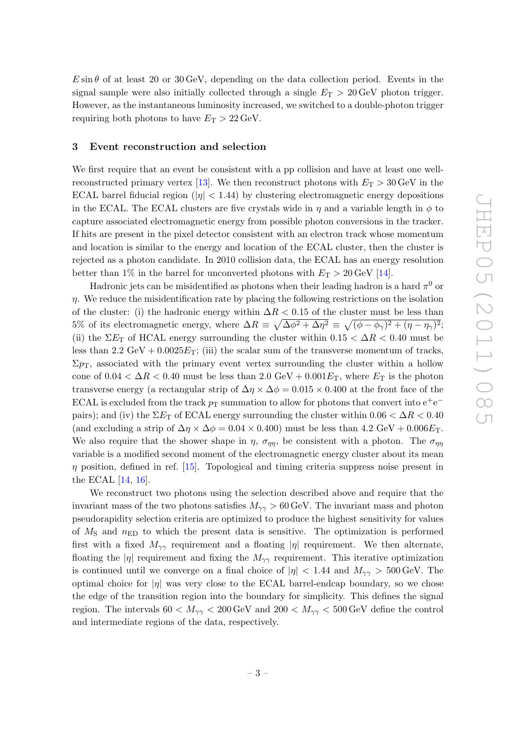$E \sin \theta$  of at least 20 or 30 GeV, depending on the data collection period. Events in the signal sample were also initially collected through a single  $E_T > 20 \,\text{GeV}$  photon trigger. However, as the instantaneous luminosity increased, we switched to a double-photon trigger requiring both photons to have  $E_T > 22 \,\text{GeV}$ .

#### <span id="page-3-0"></span>3 Event reconstruction and selection

We first require that an event be consistent with a pp collision and have at least one well-reconstructed primary vertex [\[13\]](#page-26-12). We then reconstruct photons with  $E_T > 30 \,\text{GeV}$  in the ECAL barrel fiducial region ( $|\eta|$  < 1.44) by clustering electromagnetic energy depositions in the ECAL. The ECAL clusters are five crystals wide in  $\eta$  and a variable length in  $\phi$  to capture associated electromagnetic energy from possible photon conversions in the tracker. If hits are present in the pixel detector consistent with an electron track whose momentum and location is similar to the energy and location of the ECAL cluster, then the cluster is rejected as a photon candidate. In 2010 collision data, the ECAL has an energy resolution better than 1% in the barrel for unconverted photons with  $E_T > 20 \,\text{GeV}$  [\[14\]](#page-26-13).

Hadronic jets can be misidentified as photons when their leading hadron is a hard  $\pi^0$  or  $\eta$ . We reduce the misidentification rate by placing the following restrictions on the isolation of the cluster: (i) the hadronic energy within  $\Delta R < 0.15$  of the cluster must be less than 5% of its electromagnetic energy, where  $\Delta R \equiv \sqrt{\Delta \phi^2 + \Delta \eta^2} \equiv \sqrt{(\phi - \phi_\gamma)^2 + (\eta - \eta_\gamma)^2}$ ; (ii) the  $\Sigma E_{\rm T}$  of HCAL energy surrounding the cluster within 0.15 <  $\Delta R$  < 0.40 must be less than 2.2 GeV +  $0.0025E_T$ ; (iii) the scalar sum of the transverse momentum of tracks,  $\Sigma p_{\rm T}$ , associated with the primary event vertex surrounding the cluster within a hollow cone of  $0.04 < \Delta R < 0.40$  must be less than  $2.0 \text{ GeV} + 0.001 E_T$ , where  $E_T$  is the photon transverse energy (a rectangular strip of  $\Delta \eta \times \Delta \phi = 0.015 \times 0.400$  at the front face of the ECAL is excluded from the track  $p_T$  summation to allow for photons that convert into  $e^+e^$ pairs); and (iv) the  $\Sigma E_{\rm T}$  of ECAL energy surrounding the cluster within  $0.06 < \Delta R < 0.40$ (and excluding a strip of  $\Delta \eta \times \Delta \phi = 0.04 \times 0.400$ ) must be less than 4.2 GeV + 0.006 $E_T$ . We also require that the shower shape in  $\eta$ ,  $\sigma_{nn}$ , be consistent with a photon. The  $\sigma_{nn}$ variable is a modified second moment of the electromagnetic energy cluster about its mean  $\eta$  position, defined in ref. [\[15\]](#page-26-14). Topological and timing criteria suppress noise present in the ECAL [\[14,](#page-26-13) [16\]](#page-26-15).

We reconstruct two photons using the selection described above and require that the invariant mass of the two photons satisfies  $M_{\gamma\gamma} > 60 \,\text{GeV}$ . The invariant mass and photon pseudorapidity selection criteria are optimized to produce the highest sensitivity for values of  $M<sub>S</sub>$  and  $n<sub>ED</sub>$  to which the present data is sensitive. The optimization is performed first with a fixed  $M_{\gamma\gamma}$  requirement and a floating  $|\eta|$  requirement. We then alternate, floating the  $|\eta|$  requirement and fixing the  $M_{\gamma\gamma}$  requirement. This iterative optimization is continued until we converge on a final choice of  $|\eta| < 1.44$  and  $M_{\gamma\gamma} > 500 \,\text{GeV}$ . The optimal choice for  $|\eta|$  was very close to the ECAL barrel-endcap boundary, so we chose the edge of the transition region into the boundary for simplicity. This defines the signal region. The intervals  $60 < M_{\gamma\gamma} < 200 \,\text{GeV}$  and  $200 < M_{\gamma\gamma} < 500 \,\text{GeV}$  define the control and intermediate regions of the data, respectively.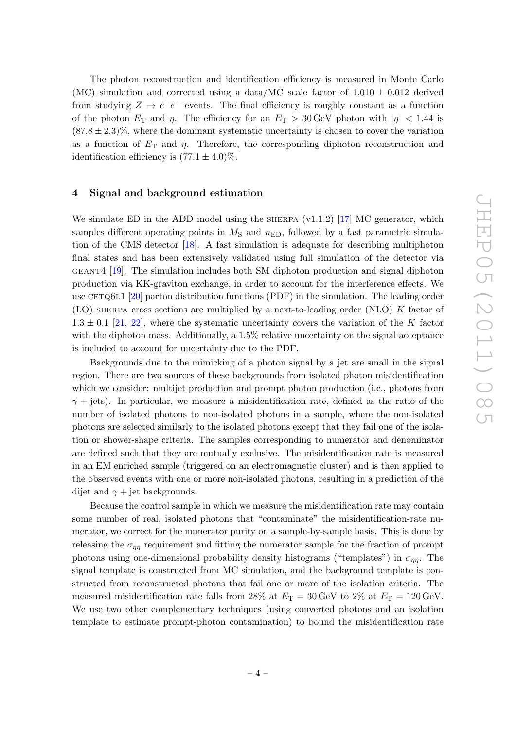The photon reconstruction and identification efficiency is measured in Monte Carlo (MC) simulation and corrected using a data/MC scale factor of  $1.010 \pm 0.012$  derived from studying  $Z \to e^+e^-$  events. The final efficiency is roughly constant as a function of the photon  $E_T$  and  $\eta$ . The efficiency for an  $E_T > 30$  GeV photon with  $|\eta| < 1.44$  is  $(87.8 \pm 2.3)\%$ , where the dominant systematic uncertainty is chosen to cover the variation as a function of  $E_T$  and  $\eta$ . Therefore, the corresponding diphoton reconstruction and identification efficiency is  $(77.1 \pm 4.0)\%$ .

#### <span id="page-4-0"></span>4 Signal and background estimation

We simulate ED in the ADD model using the SHERPA  $(v1.1.2)$  [\[17\]](#page-26-16) MC generator, which samples different operating points in  $M<sub>S</sub>$  and  $n<sub>ED</sub>$ , followed by a fast parametric simulation of the CMS detector [\[18\]](#page-27-0). A fast simulation is adequate for describing multiphoton final states and has been extensively validated using full simulation of the detector via geant4 [\[19\]](#page-27-1). The simulation includes both SM diphoton production and signal diphoton production via KK-graviton exchange, in order to account for the interference effects. We use  $CETQ6L1$  [\[20\]](#page-27-2) parton distribution functions (PDF) in the simulation. The leading order  $(LO)$  sherpa cross sections are multiplied by a next-to-leading order  $(NLO)$  K factor of  $1.3 \pm 0.1$  [\[21,](#page-27-3) [22\]](#page-27-4), where the systematic uncertainty covers the variation of the K factor with the diphoton mass. Additionally, a  $1.5\%$  relative uncertainty on the signal acceptance is included to account for uncertainty due to the PDF.

Backgrounds due to the mimicking of a photon signal by a jet are small in the signal region. There are two sources of these backgrounds from isolated photon misidentification which we consider: multijet production and prompt photon production (i.e., photons from  $\gamma$  + jets). In particular, we measure a misidentification rate, defined as the ratio of the number of isolated photons to non-isolated photons in a sample, where the non-isolated photons are selected similarly to the isolated photons except that they fail one of the isolation or shower-shape criteria. The samples corresponding to numerator and denominator are defined such that they are mutually exclusive. The misidentification rate is measured in an EM enriched sample (triggered on an electromagnetic cluster) and is then applied to the observed events with one or more non-isolated photons, resulting in a prediction of the dijet and  $\gamma$  + jet backgrounds.

Because the control sample in which we measure the misidentification rate may contain some number of real, isolated photons that "contaminate" the misidentification-rate numerator, we correct for the numerator purity on a sample-by-sample basis. This is done by releasing the  $\sigma_{nn}$  requirement and fitting the numerator sample for the fraction of prompt photons using one-dimensional probability density histograms ("templates") in  $\sigma_{\eta\eta}$ . The signal template is constructed from MC simulation, and the background template is constructed from reconstructed photons that fail one or more of the isolation criteria. The measured misidentification rate falls from 28% at  $E_T = 30 \,\text{GeV}$  to 2% at  $E_T = 120 \,\text{GeV}$ . We use two other complementary techniques (using converted photons and an isolation template to estimate prompt-photon contamination) to bound the misidentification rate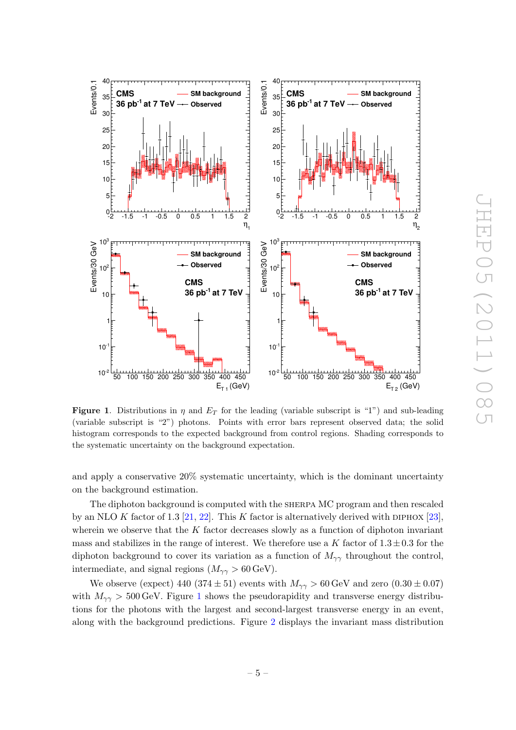

<span id="page-5-0"></span>**Figure 1.** Distributions in  $\eta$  and  $E_T$  for the leading (variable subscript is "1") and sub-leading (variable subscript is "2") photons. Points with error bars represent observed data; the solid histogram corresponds to the expected background from control regions. Shading corresponds to the systematic uncertainty on the background expectation.

and apply a conservative 20% systematic uncertainty, which is the dominant uncertainty on the background estimation.

The diphoton background is computed with the sherpa MC program and then rescaled by an NLO K factor of 1.3 [\[21,](#page-27-3) [22\]](#page-27-4). This K factor is alternatively derived with DIPHOX [\[23\]](#page-27-5), wherein we observe that the  $K$  factor decreases slowly as a function of diphoton invariant mass and stabilizes in the range of interest. We therefore use a K factor of  $1.3 \pm 0.3$  for the diphoton background to cover its variation as a function of  $M_{\gamma\gamma}$  throughout the control, intermediate, and signal regions  $(M_{\gamma\gamma} > 60 \,\text{GeV})$ .

We observe (expect) 440 (374  $\pm$  51) events with  $M_{\gamma\gamma} > 60 \,\text{GeV}$  and zero (0.30  $\pm$  0.07) with  $M_{\gamma\gamma} > 500 \,\text{GeV}$ . Figure [1](#page-5-0) shows the pseudorapidity and transverse energy distributions for the photons with the largest and second-largest transverse energy in an event, along with the background predictions. Figure [2](#page-6-0) displays the invariant mass distribution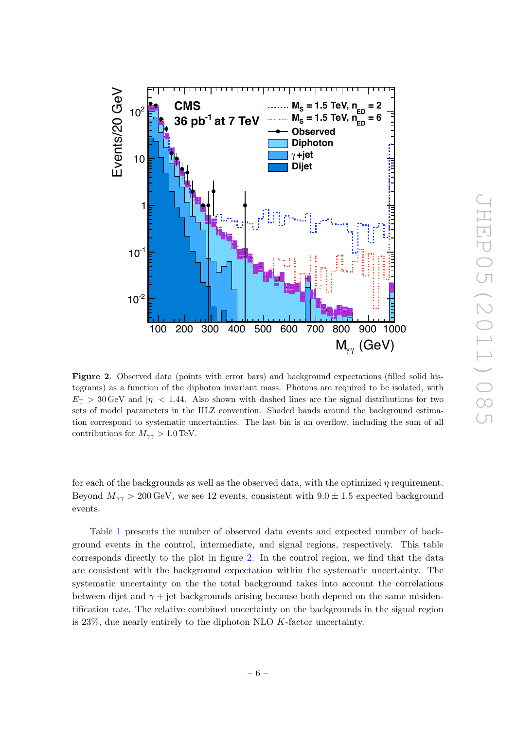

<span id="page-6-0"></span>Figure 2. Observed data (points with error bars) and background expectations (filled solid histograms) as a function of the diphoton invariant mass. Photons are required to be isolated, with  $E_T > 30$  GeV and  $|\eta| < 1.44$ . Also shown with dashed lines are the signal distributions for two sets of model parameters in the HLZ convention. Shaded bands around the background estimation correspond to systematic uncertainties. The last bin is an overflow, including the sum of all contributions for  $M_{\gamma\gamma} > 1.0 \,\text{TeV}$ .

for each of the backgrounds as well as the observed data, with the optimized  $\eta$  requirement. Beyond  $M_{\gamma\gamma} > 200 \,\text{GeV}$ , we see 12 events, consistent with  $9.0 \pm 1.5$  expected background events.

Table [1](#page-7-1) presents the number of observed data events and expected number of background events in the control, intermediate, and signal regions, respectively. This table corresponds directly to the plot in figure [2.](#page-6-0) In the control region, we find that the data are consistent with the background expectation within the systematic uncertainty. The systematic uncertainty on the the total background takes into account the correlations between dijet and  $\gamma$  + jet backgrounds arising because both depend on the same misidentification rate. The relative combined uncertainty on the backgrounds in the signal region is  $23\%$ , due nearly entirely to the diphoton NLO K-factor uncertainty.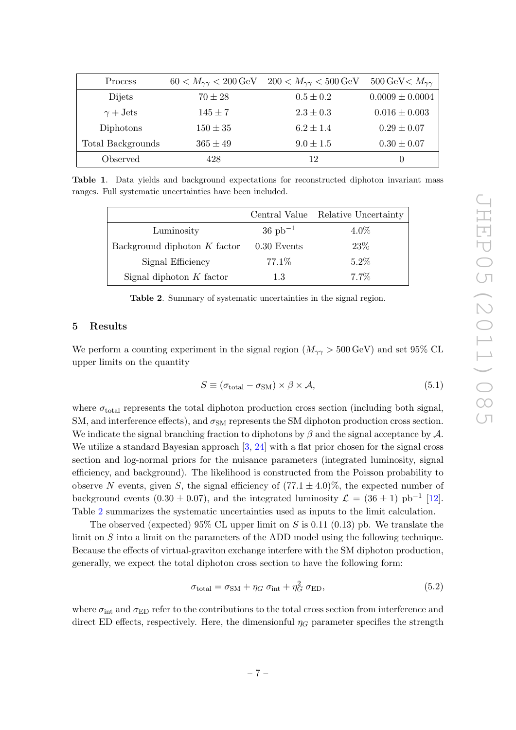| Process                | $60 < M_{\gamma\gamma} < 200 \,\text{GeV}$ | $200 < M_{\gamma\gamma} < 500 \,\text{GeV}$ | $500 \,\mathrm{GeV} < M_{\gamma\gamma}$ |
|------------------------|--------------------------------------------|---------------------------------------------|-----------------------------------------|
| Dijets                 | $70 \pm 28$                                | $0.5 \pm 0.2$                               | $0.0009 \pm 0.0004$                     |
| $\gamma + \text{Jets}$ | $145 \pm 7$                                | $2.3 \pm 0.3$                               | $0.016 \pm 0.003$                       |
| Diphotons              | $150 \pm 35$                               | $6.2 \pm 1.4$                               | $0.29 \pm 0.07$                         |
| Total Backgrounds      | $365 \pm 49$                               | $9.0 \pm 1.5$                               | $0.30 \pm 0.07$                         |
| <b>Observed</b>        | 428                                        | 12                                          | 0                                       |

Table 1. Data yields and background expectations for reconstructed diphoton invariant mass ranges. Full systematic uncertainties have been included.

<span id="page-7-1"></span>

|                                |                        | Central Value Relative Uncertainty |
|--------------------------------|------------------------|------------------------------------|
| Luminosity                     | $36\;\mathrm{pb}^{-1}$ | $4.0\%$                            |
| Background diphoton $K$ factor | $0.30$ Events          | 23%                                |
| Signal Efficiency              | 77.1\%                 | $5.2\%$                            |
| Signal diphoton $K$ factor     | 1.3                    | $7.7\%$                            |

<span id="page-7-2"></span>Table 2. Summary of systematic uncertainties in the signal region.

#### <span id="page-7-0"></span>5 Results

We perform a counting experiment in the signal region  $(M_{\gamma\gamma} > 500 \,\text{GeV})$  and set 95% CL upper limits on the quantity

$$
S \equiv (\sigma_{\text{total}} - \sigma_{\text{SM}}) \times \beta \times \mathcal{A}, \tag{5.1}
$$

where  $\sigma_{\text{total}}$  represents the total diphoton production cross section (including both signal, SM, and interference effects), and  $\sigma_{SM}$  represents the SM diphoton production cross section. We indicate the signal branching fraction to diphotons by  $\beta$  and the signal acceptance by  $\mathcal{A}$ . We utilize a standard Bayesian approach [\[3,](#page-26-2) [24\]](#page-27-6) with a flat prior chosen for the signal cross section and log-normal priors for the nuisance parameters (integrated luminosity, signal efficiency, and background). The likelihood is constructed from the Poisson probability to observe N events, given S, the signal efficiency of  $(77.1 \pm 4.0)\%$ , the expected number of background events  $(0.30 \pm 0.07)$ , and the integrated luminosity  $\mathcal{L} = (36 \pm 1)$  pb<sup>-1</sup> [\[12\]](#page-26-11). Table [2](#page-7-2) summarizes the systematic uncertainties used as inputs to the limit calculation.

The observed (expected) 95% CL upper limit on S is 0.11 (0.13) pb. We translate the limit on S into a limit on the parameters of the ADD model using the following technique. Because the effects of virtual-graviton exchange interfere with the SM diphoton production, generally, we expect the total diphoton cross section to have the following form:

<span id="page-7-3"></span>
$$
\sigma_{\text{total}} = \sigma_{\text{SM}} + \eta_G \,\sigma_{\text{int}} + \eta_G^2 \,\sigma_{\text{ED}},\tag{5.2}
$$

where  $\sigma_{\text{int}}$  and  $\sigma_{\text{ED}}$  refer to the contributions to the total cross section from interference and direct ED effects, respectively. Here, the dimensionful  $\eta_G$  parameter specifies the strength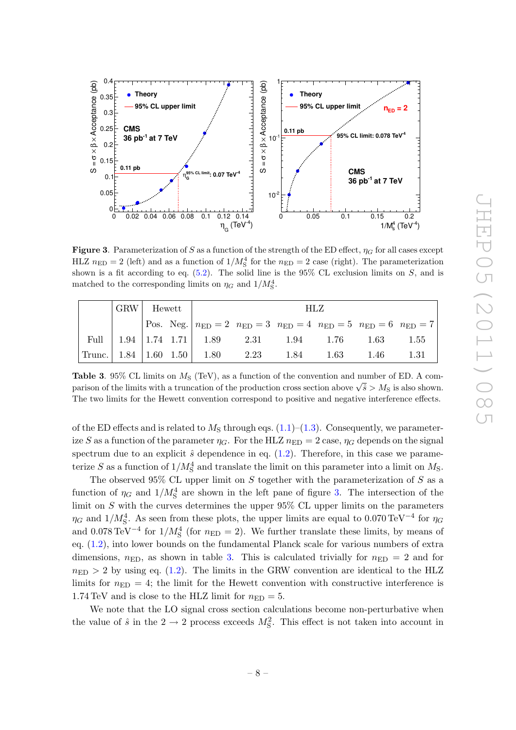

|        | GRW | Hewett |  | HLZ.                        |             |      |          |      |                                                                                                          |
|--------|-----|--------|--|-----------------------------|-------------|------|----------|------|----------------------------------------------------------------------------------------------------------|
|        |     |        |  |                             |             |      |          |      | $ \text{Pos. Neg.} \eta_{ED} = 2 \eta_{ED} = 3 \eta_{ED} = 4 \eta_{ED} = 5 \eta_{ED} = 6 \eta_{ED} = 7 $ |
| Full   |     |        |  | $1.94$   1.74 1.71   1.89   | $\sim 2.31$ | 1.94 | $1.76\,$ | 1.63 | 1.55                                                                                                     |
| Trunc. |     |        |  | $1.84$   1.60 $1.50$   1.80 | 2.23        | 1.84 | 1.63     | 1.46 | 1.31                                                                                                     |

η<sub>G</sub> (TeV<sup>-4</sup>)

S = σ × β × αceptance (pb)

 $1<sub>F</sub>$ 

**Theory**

 $CL$  limit<sub>2</sub> 0.07 TeV<sup>-4</sup>

<span id="page-8-0"></span>0 0.02 0.04 0.06 0.08 0.1 0.12 0.14

**G** η

S = σ × β × Acceptance (pb)<br>⊝

**Theory**

 **at 7 TeV -1 36 pb**

**95% CL upper limit**

0<br>0<br>0

 **0.11 pb**

**CMS**

0.05  $0.$  $0.1$ 0.2  $0.25$ 0.3 0.35  $0.4$ 

<span id="page-8-1"></span>**Table 3.** 95% CL limits on  $M<sub>S</sub>$  (TeV), as a function of the convention and number of ED. A com-**Fabre 3.** 95% CL finnts on  $M_S$  (TeV), as a function of the convention and number of ED. A comparison of the limits with a truncation of the production cross section above  $\sqrt{\hat{s}} > M_S$  is also shown. The two limits for the Hewett convention correspond to positive and negative interference effects.

of the ED effects and is related to  $M<sub>S</sub>$  through eqs. [\(1.1\)](#page-2-1)–[\(1.3\)](#page-2-1). Consequently, we parameterize S as a function of the parameter  $\eta_G$ . For the HLZ  $n_{\text{ED}} = 2$  case,  $\eta_G$  depends on the signal spectrum due to an explicit  $\hat{s}$  dependence in eq.  $(1.2)$ . Therefore, in this case we parameterize S as a function of  $1/M_S^4$  and translate the limit on this parameter into a limit on  $M_S$ .

The observed 95% CL upper limit on  $S$  together with the parameterization of  $S$  as a function of  $\eta_G$  and  $1/M_S^4$  are shown in the left pane of figure [3.](#page-8-0) The intersection of the limit on S with the curves determines the upper 95% CL upper limits on the parameters  $\eta_G$  and 1/ $M^4_S$ . As seen from these plots, the upper limits are equal to 0.070 TeV<sup>-4</sup> for  $\eta_G$ and 0.078 TeV<sup>-4</sup> for  $1/M_{\rm S}^4$  (for  $n_{\rm ED} = 2$ ). We further translate these limits, by means of eq. [\(1.2\)](#page-2-1), into lower bounds on the fundamental Planck scale for various numbers of extra dimensions,  $n_{\rm ED}$ , as shown in table [3.](#page-8-1) This is calculated trivially for  $n_{\rm ED} = 2$  and for  $n_{\text{ED}} > 2$  by using eq. [\(1.2\)](#page-2-1). The limits in the GRW convention are identical to the HLZ limits for  $n_{\text{ED}} = 4$ ; the limit for the Hewett convention with constructive interference is 1.74 TeV and is close to the HLZ limit for  $n_{\text{ED}} = 5$ .

We note that the LO signal cross section calculations become non-perturbative when the value of  $\hat{s}$  in the  $2 \to 2$  process exceeds  $M_S^2$ . This effect is not taken into account in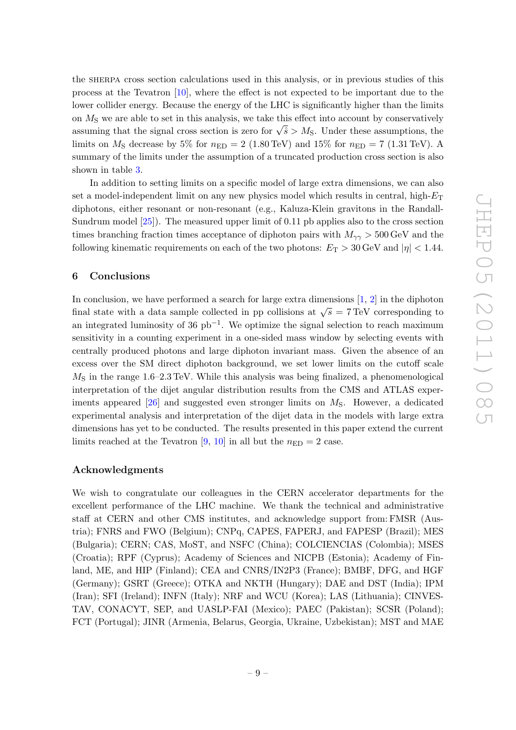the sherpa cross section calculations used in this analysis, or in previous studies of this process at the Tevatron [\[10\]](#page-26-9), where the effect is not expected to be important due to the lower collider energy. Because the energy of the LHC is significantly higher than the limits on  $M<sub>S</sub>$  we are able to set in this analysis, we take this effect into account by conservatively assuming that the signal cross section is zero for  $\sqrt{\hat{s}} > M_{\rm S}$ . Under these assumptions, the limits on  $M<sub>S</sub>$  decrease by 5% for  $n<sub>ED</sub> = 2 (1.80 \text{ TeV})$  and 15% for  $n<sub>ED</sub> = 7 (1.31 \text{ TeV})$ . A summary of the limits under the assumption of a truncated production cross section is also shown in table [3.](#page-8-1)

In addition to setting limits on a specific model of large extra dimensions, we can also set a model-independent limit on any new physics model which results in central, high- $E<sub>T</sub>$ diphotons, either resonant or non-resonant (e.g., Kaluza-Klein gravitons in the Randall-Sundrum model [\[25\]](#page-27-7)). The measured upper limit of 0.11 pb applies also to the cross section times branching fraction times acceptance of diphoton pairs with  $M_{\gamma\gamma} > 500 \,\text{GeV}$  and the following kinematic requirements on each of the two photons:  $E_T > 30 \,\text{GeV}$  and  $|\eta| < 1.44$ .

#### <span id="page-9-0"></span>6 Conclusions

In conclusion, we have performed a search for large extra dimensions  $[1, 2]$  $[1, 2]$  $[1, 2]$  in the diphoton final state with a data sample collected in pp collisions at  $\sqrt{s} = 7 \text{ TeV}$  corresponding to an integrated luminosity of 36  $pb^{-1}$ . We optimize the signal selection to reach maximum sensitivity in a counting experiment in a one-sided mass window by selecting events with centrally produced photons and large diphoton invariant mass. Given the absence of an excess over the SM direct diphoton background, we set lower limits on the cutoff scale  $M<sub>S</sub>$  in the range 1.6–2.3 TeV. While this analysis was being finalized, a phenomenological interpretation of the dijet angular distribution results from the CMS and ATLAS experiments appeared  $[26]$  and suggested even stronger limits on  $M<sub>S</sub>$ . However, a dedicated experimental analysis and interpretation of the dijet data in the models with large extra dimensions has yet to be conducted. The results presented in this paper extend the current limits reached at the Tevatron [\[9,](#page-26-8) [10\]](#page-26-9) in all but the  $n_{\text{ED}} = 2$  case.

#### Acknowledgments

We wish to congratulate our colleagues in the CERN accelerator departments for the excellent performance of the LHC machine. We thank the technical and administrative staff at CERN and other CMS institutes, and acknowledge support from: FMSR (Austria); FNRS and FWO (Belgium); CNPq, CAPES, FAPERJ, and FAPESP (Brazil); MES (Bulgaria); CERN; CAS, MoST, and NSFC (China); COLCIENCIAS (Colombia); MSES (Croatia); RPF (Cyprus); Academy of Sciences and NICPB (Estonia); Academy of Finland, ME, and HIP (Finland); CEA and CNRS/IN2P3 (France); BMBF, DFG, and HGF (Germany); GSRT (Greece); OTKA and NKTH (Hungary); DAE and DST (India); IPM (Iran); SFI (Ireland); INFN (Italy); NRF and WCU (Korea); LAS (Lithuania); CINVES-TAV, CONACYT, SEP, and UASLP-FAI (Mexico); PAEC (Pakistan); SCSR (Poland); FCT (Portugal); JINR (Armenia, Belarus, Georgia, Ukraine, Uzbekistan); MST and MAE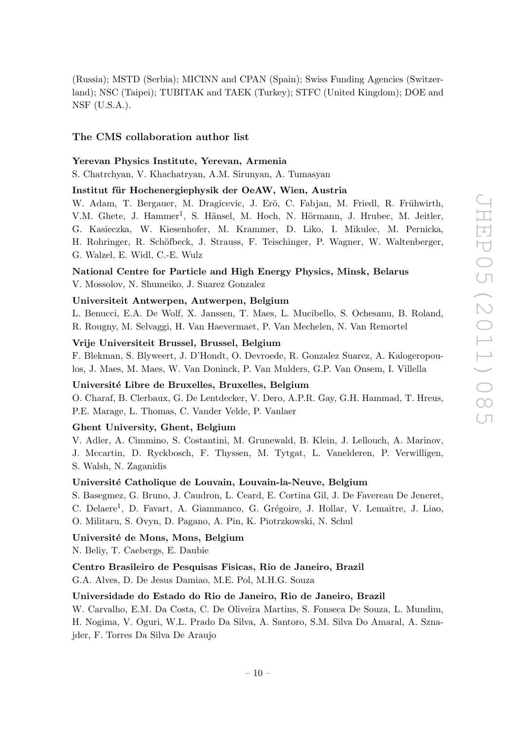(Russia); MSTD (Serbia); MICINN and CPAN (Spain); Swiss Funding Agencies (Switzerland); NSC (Taipei); TUBITAK and TAEK (Turkey); STFC (United Kingdom); DOE and NSF (U.S.A.).

#### The CMS collaboration author list

#### Yerevan Physics Institute, Yerevan, Armenia

S. Chatrchyan, V. Khachatryan, A.M. Sirunyan, A. Tumasyan

#### Institut für Hochenergiephysik der OeAW, Wien, Austria

W. Adam, T. Bergauer, M. Dragicevic, J. Erö, C. Fabjan, M. Friedl, R. Frühwirth, V.M. Ghete, J. Hammer<sup>1</sup>, S. Hänsel, M. Hoch, N. Hörmann, J. Hrubec, M. Jeitler, G. Kasieczka, W. Kiesenhofer, M. Krammer, D. Liko, I. Mikulec, M. Pernicka, H. Rohringer, R. Schöfbeck, J. Strauss, F. Teischinger, P. Wagner, W. Waltenberger, G. Walzel, E. Widl, C.-E. Wulz

National Centre for Particle and High Energy Physics, Minsk, Belarus V. Mossolov, N. Shumeiko, J. Suarez Gonzalez

#### Universiteit Antwerpen, Antwerpen, Belgium

L. Benucci, E.A. De Wolf, X. Janssen, T. Maes, L. Mucibello, S. Ochesanu, B. Roland, R. Rougny, M. Selvaggi, H. Van Haevermaet, P. Van Mechelen, N. Van Remortel

#### Vrije Universiteit Brussel, Brussel, Belgium

F. Blekman, S. Blyweert, J. D'Hondt, O. Devroede, R. Gonzalez Suarez, A. Kalogeropoulos, J. Maes, M. Maes, W. Van Doninck, P. Van Mulders, G.P. Van Onsem, I. Villella

#### Universit´e Libre de Bruxelles, Bruxelles, Belgium

O. Charaf, B. Clerbaux, G. De Lentdecker, V. Dero, A.P.R. Gay, G.H. Hammad, T. Hreus, P.E. Marage, L. Thomas, C. Vander Velde, P. Vanlaer

#### Ghent University, Ghent, Belgium

V. Adler, A. Cimmino, S. Costantini, M. Grunewald, B. Klein, J. Lellouch, A. Marinov, J. Mccartin, D. Ryckbosch, F. Thyssen, M. Tytgat, L. Vanelderen, P. Verwilligen, S. Walsh, N. Zaganidis

#### Université Catholique de Louvain, Louvain-la-Neuve, Belgium

S. Basegmez, G. Bruno, J. Caudron, L. Ceard, E. Cortina Gil, J. De Favereau De Jeneret, C. Delaere<sup>1</sup>, D. Favart, A. Giammanco, G. Grégoire, J. Hollar, V. Lemaitre, J. Liao, O. Militaru, S. Ovyn, D. Pagano, A. Pin, K. Piotrzkowski, N. Schul

#### Université de Mons, Mons, Belgium

N. Beliy, T. Caebergs, E. Daubie

Centro Brasileiro de Pesquisas Fisicas, Rio de Janeiro, Brazil

G.A. Alves, D. De Jesus Damiao, M.E. Pol, M.H.G. Souza

#### Universidade do Estado do Rio de Janeiro, Rio de Janeiro, Brazil

W. Carvalho, E.M. Da Costa, C. De Oliveira Martins, S. Fonseca De Souza, L. Mundim, H. Nogima, V. Oguri, W.L. Prado Da Silva, A. Santoro, S.M. Silva Do Amaral, A. Sznajder, F. Torres Da Silva De Araujo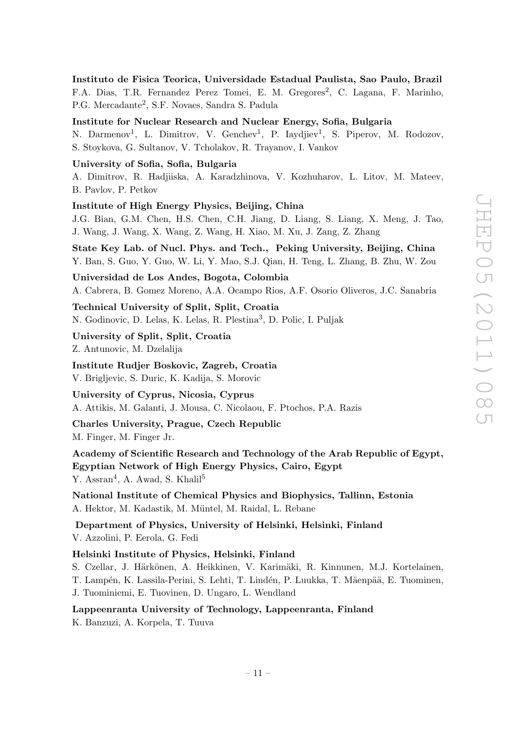Instituto de Fisica Teorica, Universidade Estadual Paulista, Sao Paulo, Brazil F.A. Dias, T.R. Fernandez Perez Tomei, E. M. Gregores<sup>2</sup>, C. Lagana, F. Marinho, P.G. Mercadante<sup>2</sup>, S.F. Novaes, Sandra S. Padula

#### Institute for Nuclear Research and Nuclear Energy, Sofia, Bulgaria

N. Darmenov<sup>1</sup>, L. Dimitrov, V. Genchev<sup>1</sup>, P. Iaydjiev<sup>1</sup>, S. Piperov, M. Rodozov, S. Stoykova, G. Sultanov, V. Tcholakov, R. Trayanov, I. Vankov

#### University of Sofia, Sofia, Bulgaria

A. Dimitrov, R. Hadjiiska, A. Karadzhinova, V. Kozhuharov, L. Litov, M. Mateev, B. Pavlov, P. Petkov

#### Institute of High Energy Physics, Beijing, China

J.G. Bian, G.M. Chen, H.S. Chen, C.H. Jiang, D. Liang, S. Liang, X. Meng, J. Tao, J. Wang, J. Wang, X. Wang, Z. Wang, H. Xiao, M. Xu, J. Zang, Z. Zhang

State Key Lab. of Nucl. Phys. and Tech., Peking University, Beijing, China Y. Ban, S. Guo, Y. Guo, W. Li, Y. Mao, S.J. Qian, H. Teng, L. Zhang, B. Zhu, W. Zou

Universidad de Los Andes, Bogota, Colombia

A. Cabrera, B. Gomez Moreno, A.A. Ocampo Rios, A.F. Osorio Oliveros, J.C. Sanabria

Technical University of Split, Split, Croatia

N. Godinovic, D. Lelas, K. Lelas, R. Plestina<sup>3</sup>, D. Polic, I. Puljak

University of Split, Split, Croatia

Z. Antunovic, M. Dzelalija

Institute Rudjer Boskovic, Zagreb, Croatia

V. Brigljevic, S. Duric, K. Kadija, S. Morovic

University of Cyprus, Nicosia, Cyprus

A. Attikis, M. Galanti, J. Mousa, C. Nicolaou, F. Ptochos, P.A. Razis

Charles University, Prague, Czech Republic

M. Finger, M. Finger Jr.

Academy of Scientific Research and Technology of the Arab Republic of Egypt, Egyptian Network of High Energy Physics, Cairo, Egypt

Y. Assran<sup>4</sup>, A. Awad, S. Khalil<sup>5</sup>

National Institute of Chemical Physics and Biophysics, Tallinn, Estonia A. Hektor, M. Kadastik, M. Müntel, M. Raidal, L. Rebane

Department of Physics, University of Helsinki, Helsinki, Finland V. Azzolini, P. Eerola, G. Fedi

#### Helsinki Institute of Physics, Helsinki, Finland

S. Czellar, J. Härkönen, A. Heikkinen, V. Karimäki, R. Kinnunen, M.J. Kortelainen,

T. Lampén, K. Lassila-Perini, S. Lehti, T. Lindén, P. Luukka, T. Mäenpää, E. Tuominen,

J. Tuominiemi, E. Tuovinen, D. Ungaro, L. Wendland

Lappeenranta University of Technology, Lappeenranta, Finland

K. Banzuzi, A. Korpela, T. Tuuva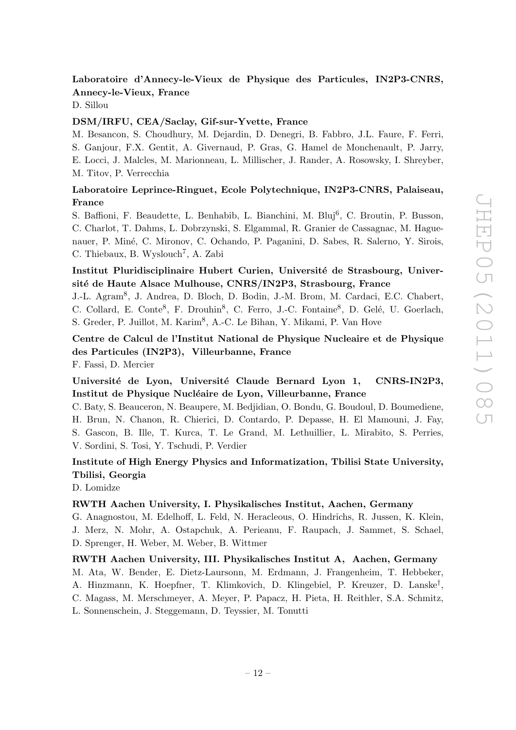# Laboratoire d'Annecy-le-Vieux de Physique des Particules, IN2P3-CNRS, Annecy-le-Vieux, France

D. Sillou

#### DSM/IRFU, CEA/Saclay, Gif-sur-Yvette, France

M. Besancon, S. Choudhury, M. Dejardin, D. Denegri, B. Fabbro, J.L. Faure, F. Ferri, S. Ganjour, F.X. Gentit, A. Givernaud, P. Gras, G. Hamel de Monchenault, P. Jarry, E. Locci, J. Malcles, M. Marionneau, L. Millischer, J. Rander, A. Rosowsky, I. Shreyber, M. Titov, P. Verrecchia

### Laboratoire Leprince-Ringuet, Ecole Polytechnique, IN2P3-CNRS, Palaiseau, France

S. Baffioni, F. Beaudette, L. Benhabib, L. Bianchini, M. Bluj<sup>6</sup>, C. Broutin, P. Busson, C. Charlot, T. Dahms, L. Dobrzynski, S. Elgammal, R. Granier de Cassagnac, M. Haguenauer, P. Miné, C. Mironov, C. Ochando, P. Paganini, D. Sabes, R. Salerno, Y. Sirois, C. Thiebaux, B. Wyslouch<sup>7</sup>, A. Zabi

### Institut Pluridisciplinaire Hubert Curien, Université de Strasbourg, Université de Haute Alsace Mulhouse, CNRS/IN2P3, Strasbourg, France

J.-L. Agram<sup>8</sup>, J. Andrea, D. Bloch, D. Bodin, J.-M. Brom, M. Cardaci, E.C. Chabert, C. Collard, E. Conte<sup>8</sup>, F. Drouhin<sup>8</sup>, C. Ferro, J.-C. Fontaine<sup>8</sup>, D. Gelé, U. Goerlach, S. Greder, P. Juillot, M. Karim<sup>8</sup>, A.-C. Le Bihan, Y. Mikami, P. Van Hove

### Centre de Calcul de l'Institut National de Physique Nucleaire et de Physique des Particules (IN2P3), Villeurbanne, France F. Fassi, D. Mercier

Université de Lyon, Université Claude Bernard Lyon 1, CNRS-IN2P3, Institut de Physique Nucléaire de Lyon, Villeurbanne, France

## C. Baty, S. Beauceron, N. Beaupere, M. Bedjidian, O. Bondu, G. Boudoul, D. Boumediene, H. Brun, N. Chanon, R. Chierici, D. Contardo, P. Depasse, H. El Mamouni, J. Fay, S. Gascon, B. Ille, T. Kurca, T. Le Grand, M. Lethuillier, L. Mirabito, S. Perries, V. Sordini, S. Tosi, Y. Tschudi, P. Verdier

### Institute of High Energy Physics and Informatization, Tbilisi State University, Tbilisi, Georgia

D. Lomidze

#### RWTH Aachen University, I. Physikalisches Institut, Aachen, Germany

G. Anagnostou, M. Edelhoff, L. Feld, N. Heracleous, O. Hindrichs, R. Jussen, K. Klein, J. Merz, N. Mohr, A. Ostapchuk, A. Perieanu, F. Raupach, J. Sammet, S. Schael,

D. Sprenger, H. Weber, M. Weber, B. Wittmer

RWTH Aachen University, III. Physikalisches Institut A, Aachen, Germany

M. Ata, W. Bender, E. Dietz-Laursonn, M. Erdmann, J. Frangenheim, T. Hebbeker, A. Hinzmann, K. Hoepfner, T. Klimkovich, D. Klingebiel, P. Kreuzer, D. Lanske† , C. Magass, M. Merschmeyer, A. Meyer, P. Papacz, H. Pieta, H. Reithler, S.A. Schmitz,

L. Sonnenschein, J. Steggemann, D. Teyssier, M. Tonutti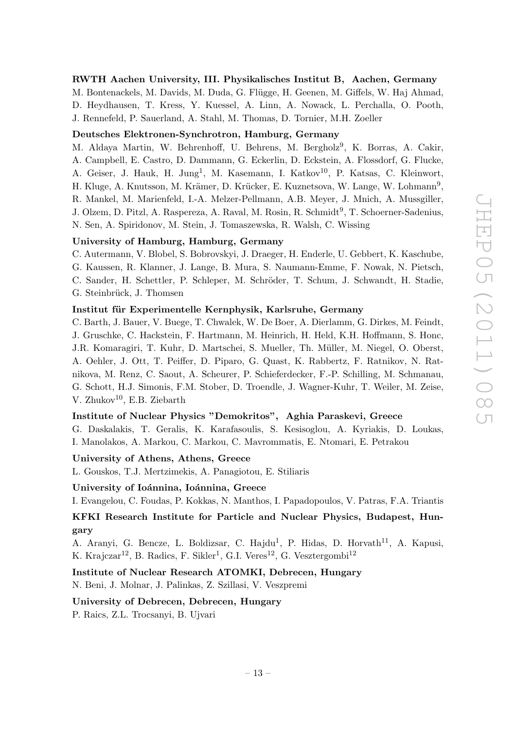#### RWTH Aachen University, III. Physikalisches Institut B, Aachen, Germany

M. Bontenackels, M. Davids, M. Duda, G. Flügge, H. Geenen, M. Giffels, W. Haj Ahmad, D. Heydhausen, T. Kress, Y. Kuessel, A. Linn, A. Nowack, L. Perchalla, O. Pooth, J. Rennefeld, P. Sauerland, A. Stahl, M. Thomas, D. Tornier, M.H. Zoeller

#### Deutsches Elektronen-Synchrotron, Hamburg, Germany

M. Aldaya Martin, W. Behrenhoff, U. Behrens, M. Bergholz<sup>9</sup>, K. Borras, A. Cakir, A. Campbell, E. Castro, D. Dammann, G. Eckerlin, D. Eckstein, A. Flossdorf, G. Flucke, A. Geiser, J. Hauk, H. Jung<sup>1</sup>, M. Kasemann, I. Katkov<sup>10</sup>, P. Katsas, C. Kleinwort, H. Kluge, A. Knutsson, M. Krämer, D. Krücker, E. Kuznetsova, W. Lange, W. Lohmann<sup>9</sup>, R. Mankel, M. Marienfeld, I.-A. Melzer-Pellmann, A.B. Meyer, J. Mnich, A. Mussgiller, J. Olzem, D. Pitzl, A. Raspereza, A. Raval, M. Rosin, R. Schmidt<sup>9</sup>, T. Schoerner-Sadenius, N. Sen, A. Spiridonov, M. Stein, J. Tomaszewska, R. Walsh, C. Wissing

#### University of Hamburg, Hamburg, Germany

C. Autermann, V. Blobel, S. Bobrovskyi, J. Draeger, H. Enderle, U. Gebbert, K. Kaschube, G. Kaussen, R. Klanner, J. Lange, B. Mura, S. Naumann-Emme, F. Nowak, N. Pietsch, C. Sander, H. Schettler, P. Schleper, M. Schröder, T. Schum, J. Schwandt, H. Stadie, G. Steinbrück, J. Thomsen

### Institut für Experimentelle Kernphysik, Karlsruhe, Germany

C. Barth, J. Bauer, V. Buege, T. Chwalek, W. De Boer, A. Dierlamm, G. Dirkes, M. Feindt, J. Gruschke, C. Hackstein, F. Hartmann, M. Heinrich, H. Held, K.H. Hoffmann, S. Honc, J.R. Komaragiri, T. Kuhr, D. Martschei, S. Mueller, Th. Müller, M. Niegel, O. Oberst, A. Oehler, J. Ott, T. Peiffer, D. Piparo, G. Quast, K. Rabbertz, F. Ratnikov, N. Ratnikova, M. Renz, C. Saout, A. Scheurer, P. Schieferdecker, F.-P. Schilling, M. Schmanau, G. Schott, H.J. Simonis, F.M. Stober, D. Troendle, J. Wagner-Kuhr, T. Weiler, M. Zeise, V. Zhukov<sup>10</sup>, E.B. Ziebarth

#### Institute of Nuclear Physics "Demokritos", Aghia Paraskevi, Greece

G. Daskalakis, T. Geralis, K. Karafasoulis, S. Kesisoglou, A. Kyriakis, D. Loukas, I. Manolakos, A. Markou, C. Markou, C. Mavrommatis, E. Ntomari, E. Petrakou

#### University of Athens, Athens, Greece

L. Gouskos, T.J. Mertzimekis, A. Panagiotou, E. Stiliaris

#### University of Ioánnina, Ioánnina, Greece

I. Evangelou, C. Foudas, P. Kokkas, N. Manthos, I. Papadopoulos, V. Patras, F.A. Triantis

### KFKI Research Institute for Particle and Nuclear Physics, Budapest, Hungary

A. Aranyi, G. Bencze, L. Boldizsar, C. Hajdu<sup>1</sup>, P. Hidas, D. Horvath<sup>11</sup>, A. Kapusi, K. Krajczar<sup>12</sup>, B. Radics, F. Sikler<sup>1</sup>, G.I. Veres<sup>12</sup>, G. Vesztergombi<sup>12</sup>

#### Institute of Nuclear Research ATOMKI, Debrecen, Hungary

N. Beni, J. Molnar, J. Palinkas, Z. Szillasi, V. Veszpremi

#### University of Debrecen, Debrecen, Hungary

P. Raics, Z.L. Trocsanyi, B. Ujvari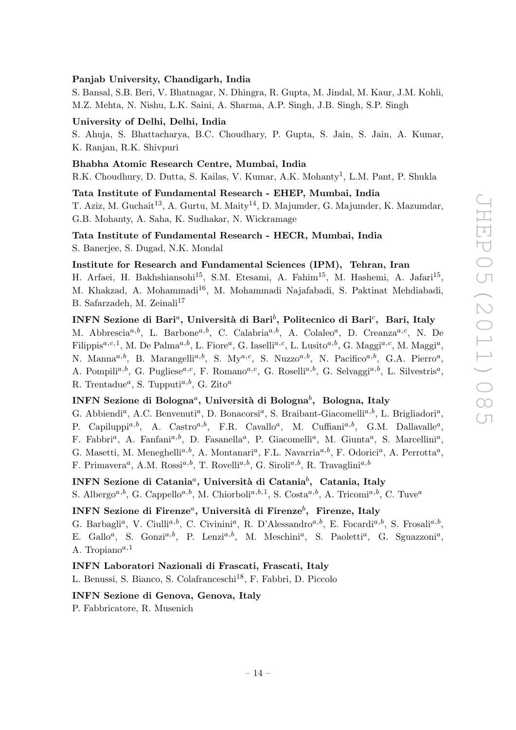#### Panjab University, Chandigarh, India

S. Bansal, S.B. Beri, V. Bhatnagar, N. Dhingra, R. Gupta, M. Jindal, M. Kaur, J.M. Kohli, M.Z. Mehta, N. Nishu, L.K. Saini, A. Sharma, A.P. Singh, J.B. Singh, S.P. Singh

#### University of Delhi, Delhi, India

S. Ahuja, S. Bhattacharya, B.C. Choudhary, P. Gupta, S. Jain, S. Jain, A. Kumar, K. Ranjan, R.K. Shivpuri

#### Bhabha Atomic Research Centre, Mumbai, India

R.K. Choudhury, D. Dutta, S. Kailas, V. Kumar, A.K. Mohanty<sup>1</sup>, L.M. Pant, P. Shukla

#### Tata Institute of Fundamental Research - EHEP, Mumbai, India

T. Aziz, M. Guchait<sup>13</sup>, A. Gurtu, M. Maity<sup>14</sup>, D. Majumder, G. Majumder, K. Mazumdar, G.B. Mohanty, A. Saha, K. Sudhakar, N. Wickramage

Tata Institute of Fundamental Research - HECR, Mumbai, India

S. Banerjee, S. Dugad, N.K. Mondal

#### Institute for Research and Fundamental Sciences (IPM), Tehran, Iran

H. Arfaei, H. Bakhshiansohi<sup>15</sup>, S.M. Etesami, A. Fahim<sup>15</sup>, M. Hashemi, A. Jafari<sup>15</sup>, M. Khakzad, A. Mohammadi<sup>16</sup>, M. Mohammadi Najafabadi, S. Paktinat Mehdiabadi, B. Safarzadeh, M. Zeinali<sup>17</sup>

# INFN Sezione di Bari $^a$ , Università di Bari $^b$ , Politecnico di Bari $^c$ , Bari, Italy

M. Abbrescia<sup>a,b</sup>, L. Barbone<sup>a,b</sup>, C. Calabria<sup>a,b</sup>, A. Colaleo<sup>a</sup>, D. Creanza<sup>a,c</sup>, N. De Filippis<sup>a,c,1</sup>, M. De Palma<sup>a,b</sup>, L. Fiore<sup>a</sup>, G. Iaselli<sup>a,c</sup>, L. Lusito<sup>a,b</sup>, G. Maggi<sup>a,c</sup>, M. Maggi<sup>a</sup>, N. Manna<sup>a,b</sup>, B. Marangelli<sup>a,b</sup>, S. My<sup>a,c</sup>, S. Nuzzo<sup>a,b</sup>, N. Pacifico<sup>a,b</sup>, G.A. Pierro<sup>a</sup>, A. Pompili<sup>a,b</sup>, G. Pugliese<sup>a,c</sup>, F. Romano<sup>a,c</sup>, G. Roselli<sup>a,b</sup>, G. Selvaggi<sup>a,b</sup>, L. Silvestris<sup>a</sup>, R. Trentadue<sup>a</sup>, S. Tupputi<sup>a,b</sup>, G. Zito<sup>a</sup>

### INFN Sezione di Bologna $^a,$  Università di Bologna $^b, \,$  Bologna, Italy

G. Abbiendi<sup>a</sup>, A.C. Benvenuti<sup>a</sup>, D. Bonacorsi<sup>a</sup>, S. Braibant-Giacomelli<sup>a,b</sup>, L. Brigliadori<sup>a</sup>, P. Capiluppi<sup>a,b</sup>, A. Castro<sup>a,b</sup>, F.R. Cavallo<sup>a</sup>, M. Cuffiani<sup>a,b</sup>, G.M. Dallavalle<sup>a</sup>, F. Fabbri<sup>a</sup>, A. Fanfani<sup>a,b</sup>, D. Fasanella<sup>a</sup>, P. Giacomelli<sup>a</sup>, M. Giunta<sup>a</sup>, S. Marcellini<sup>a</sup>, G. Masetti, M. Meneghelli<sup>a,b</sup>, A. Montanari<sup>a</sup>, F.L. Navarria<sup>a,b</sup>, F. Odorici<sup>a</sup>, A. Perrotta<sup>a</sup>, F. Primavera<sup>a</sup>, A.M. Rossi<sup>a,b</sup>, T. Rovelli<sup>a,b</sup>, G. Siroli<sup>a,b</sup>, R. Travaglini<sup>a,b</sup>

INFN Sezione di Catania $^a,$  Università di Catania $^b,\;$  Catania, Italy

S. Albergo<sup>a,b</sup>, G. Cappello<sup>a,b</sup>, M. Chiorboli<sup>a,b,1</sup>, S. Costa<sup>a,b</sup>, A. Tricomi<sup>a,b</sup>, C. Tuve<sup>a</sup>

### INFN Sezione di Firenze ${}^a,\,$ Università di Firenze ${}^b,\,$  Firenze, Italy

G. Barbagli<sup>a</sup>, V. Ciulli<sup>a,b</sup>, C. Civinini<sup>a</sup>, R. D'Alessandro<sup>a,b</sup>, E. Focardi<sup>a,b</sup>, S. Frosali<sup>a,b</sup>, E. Gallo<sup>a</sup>, S. Gonzi<sup>a,b</sup>, P. Lenzi<sup>a,b</sup>, M. Meschini<sup>a</sup>, S. Paoletti<sup>a</sup>, G. Sguazzoni<sup>a</sup>, A. Tropiano $a,1$ 

#### INFN Laboratori Nazionali di Frascati, Frascati, Italy

L. Benussi, S. Bianco, S. Colafranceschi18, F. Fabbri, D. Piccolo

#### INFN Sezione di Genova, Genova, Italy

P. Fabbricatore, R. Musenich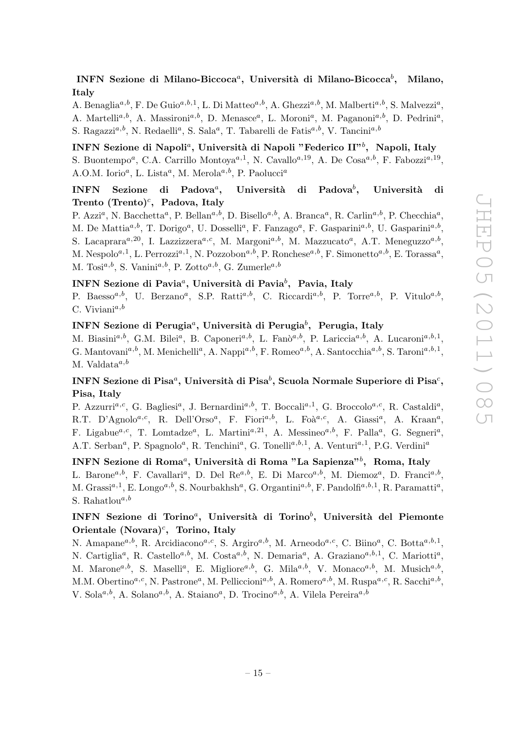### INFN Sezione di Milano-Biccoca<sup>a</sup>, Università di Milano-Bicocca<sup>b</sup>, Milano, Italy

A. Benaglia<sup>a,b</sup>, F. De Guio<sup>a,b,1</sup>, L. Di Matteo<sup>a,b</sup>, A. Ghezzi<sup>a,b</sup>, M. Malberti<sup>a,b</sup>, S. Malvezzi<sup>a</sup>, A. Martelli<sup>a,b</sup>, A. Massironi<sup>a,b</sup>, D. Menasce<sup>a</sup>, L. Moroni<sup>a</sup>, M. Paganoni<sup>a,b</sup>, D. Pedrini<sup>a</sup>, S. Ragazzi<sup>a,b</sup>, N. Redaelli<sup>a</sup>, S. Sala<sup>a</sup>, T. Tabarelli de Fatis<sup>a,b</sup>, V. Tancini<sup>a,b</sup>

INFN Sezione di Napoli<sup>a</sup>, Università di Napoli "Federico II"<sup>b</sup>, Napoli, Italy S. Buontempo<sup>a</sup>, C.A. Carrillo Montoya<sup>a, 1</sup>, N. Cavallo<sup>a, 19</sup>, A. De Cosa<sup>a, b</sup>, F. Fabozzi<sup>a, 19</sup>, A.O.M. Iorio<sup>a</sup>, L. Lista<sup>a</sup>, M. Merola<sup>a,b</sup>, P. Paolucci<sup>a</sup>

#### INFN Sezione di Padova<sup>a</sup>, Università di Padova<sup>b</sup>, Università di Trento  $(Trento)^c$ , Padova, Italy

P. Azzi<sup>a</sup>, N. Bacchetta<sup>a</sup>, P. Bellan<sup>a,b</sup>, D. Bisello<sup>a,b</sup>, A. Branca<sup>a</sup>, R. Carlin<sup>a,b</sup>, P. Checchia<sup>a</sup>, M. De Mattia<sup>a,b</sup>, T. Dorigo<sup>a</sup>, U. Dosselli<sup>a</sup>, F. Fanzago<sup>a</sup>, F. Gasparini<sup>a,b</sup>, U. Gasparini<sup>a,b</sup>, S. Lacaprara<sup>a, 20</sup>, I. Lazzizzera<sup>a, c</sup>, M. Margoni<sup>a, b</sup>, M. Mazzucato<sup>a</sup>, A.T. Meneguzzo<sup>a, b</sup>, M. Nespolo<sup>a, 1</sup>, L. Perrozzi<sup>a, 1</sup>, N. Pozzobon<sup>a, b</sup>, P. Ronchese<sup>a, b</sup>, F. Simonetto<sup>a, b</sup>, E. Torassa<sup>a</sup>, M. Tosi<sup> $a,b$ </sup>, S. Vanini<sup> $a,b$ </sup>, P. Zotto<sup> $a,b$ </sup>, G. Zumerle<sup> $a,b$ </sup>

### INFN Sezione di Pavia $^a,$  Università di Pavia $^b, \, \,$  Pavia, Italy

P. Baesso<sup>a,b</sup>, U. Berzano<sup>a</sup>, S.P. Ratti<sup>a,b</sup>, C. Riccardi<sup>a,b</sup>, P. Torre<sup>a,b</sup>, P. Vitulo<sup>a,b</sup>, C. Viviani $a,b$ 

### INFN Sezione di Perugia $^a,$  Università di Perugia $^b, \, \,$  Perugia, Italy

M. Biasini<sup>a,b</sup>, G.M. Bilei<sup>a</sup>, B. Caponeri<sup>a,b</sup>, L. Fanò<sup>a,b</sup>, P. Lariccia<sup>a,b</sup>, A. Lucaroni<sup>a,b,1</sup>, G. Mantovani<sup>a,b</sup>, M. Menichelli<sup>a</sup>, A. Nappi<sup>a,b</sup>, F. Romeo<sup>a,b</sup>, A. Santocchia<sup>a,b</sup>, S. Taroni<sup>a,b,1</sup>, M. Valdata $a,b$ 

### $\mathbf{INFN}$  Sezione di Pisa $^a, \mathbf{Universit\`a}$  di Pisa $^b, \mathbf{Scuola}$  Normale Superiore di Pisa $^c,$ Pisa, Italy

P. Azzurri<sup>a,c</sup>, G. Bagliesi<sup>a</sup>, J. Bernardini<sup>a,b</sup>, T. Boccali<sup>a,1</sup>, G. Broccolo<sup>a,c</sup>, R. Castaldi<sup>a</sup>, R.T. D'Agnolo<sup>a,c</sup>, R. Dell'Orso<sup>a</sup>, F. Fiori<sup>a,b</sup>, L. Foà<sup>a,c</sup>, A. Giassi<sup>a</sup>, A. Kraan<sup>a</sup>, F. Ligabue<sup>a,c</sup>, T. Lomtadze<sup>a</sup>, L. Martini<sup>a,21</sup>, A. Messineo<sup>a,b</sup>, F. Palla<sup>a</sup>, G. Segneri<sup>a</sup>, A.T. Serban<sup>a</sup>, P. Spagnolo<sup>a</sup>, R. Tenchini<sup>a</sup>, G. Tonelli<sup>a,b,1</sup>, A. Venturi<sup>a,1</sup>, P.G. Verdini<sup>a</sup>

### INFN Sezione di Roma<sup>a</sup>, Università di Roma "La Sapienza"<sup>b</sup>, Roma, Italy

L. Barone<sup>a,b</sup>, F. Cavallari<sup>a</sup>, D. Del Re<sup>a,b</sup>, E. Di Marco<sup>a,b</sup>, M. Diemoz<sup>a</sup>, D. Franci<sup>a,b</sup>, M. Grassi<sup>a, 1</sup>, E. Longo<sup>a, b</sup>, S. Nourbakhsh<sup>a</sup>, G. Organtini<sup>a, b</sup>, F. Pandolfi<sup>a, b, 1</sup>, R. Paramatti<sup>a</sup>, S. Rahatlou<sup> $a,b$ </sup>

### ${\rm INFN}\;$  Sezione di Torino $^a,\;$  Università di Torino $^b,\;$  Università del Piemonte Orientale (Novara)<sup>c</sup>, Torino, Italy

N. Amapane<sup>a,b</sup>, R. Arcidiacono<sup>a,c</sup>, S. Argiro<sup>a,b</sup>, M. Arneodo<sup>a,c</sup>, C. Biino<sup>a</sup>, C. Botta<sup>a,b,1</sup>, N. Cartiglia<sup>a</sup>, R. Castello<sup>a,b</sup>, M. Costa<sup>a,b</sup>, N. Demaria<sup>a</sup>, A. Graziano<sup>a,b,1</sup>, C. Mariotti<sup>a</sup>, M. Marone<sup>a,b</sup>, S. Maselli<sup>a</sup>, E. Migliore<sup>a,b</sup>, G. Mila<sup>a,b</sup>, V. Monaco<sup>a,b</sup>, M. Musich<sup>a,b</sup>, M.M. Obertino<sup>a,c</sup>, N. Pastrone<sup>a</sup>, M. Pelliccioni<sup>a,b</sup>, A. Romero<sup>a,b</sup>, M. Ruspa<sup>a,c</sup>, R. Sacchi<sup>a,b</sup>, V. Sola $^{a,b}$ , A. Solano $^{a,b}$ , A. Staiano $^a$ , D. Trocino $^{a,b}$ , A. Vilela Pereira $^{a,b}$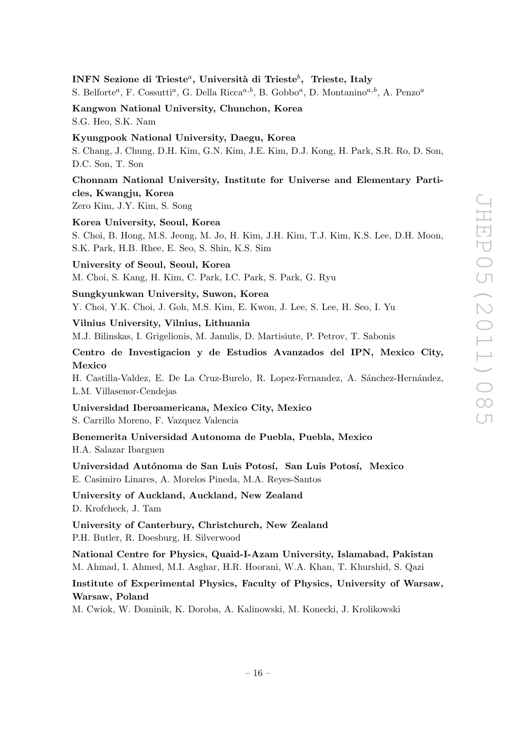### $\mathbf{INFN}\ \mathbf{Sezione}\ \mathbf{di}\ \mathbf{Trie}$ ste $^a,\ \mathbf{Università}\ \mathbf{di}\ \mathbf{Trie}$ ste $^b,\ \ \mathbf{Trie}$ ste, Italy

S. Belforte<sup>a</sup>, F. Cossutti<sup>a</sup>, G. Della Ricca<sup>a, b</sup>, B. Gobbo<sup>a</sup>, D. Montanino<sup>a, b</sup>, A. Penzo<sup>a</sup>

Kangwon National University, Chunchon, Korea S.G. Heo, S.K. Nam

#### Kyungpook National University, Daegu, Korea

S. Chang, J. Chung, D.H. Kim, G.N. Kim, J.E. Kim, D.J. Kong, H. Park, S.R. Ro, D. Son, D.C. Son, T. Son

Chonnam National University, Institute for Universe and Elementary Particles, Kwangju, Korea

Zero Kim, J.Y. Kim, S. Song

#### Korea University, Seoul, Korea

S. Choi, B. Hong, M.S. Jeong, M. Jo, H. Kim, J.H. Kim, T.J. Kim, K.S. Lee, D.H. Moon, S.K. Park, H.B. Rhee, E. Seo, S. Shin, K.S. Sim

University of Seoul, Seoul, Korea

M. Choi, S. Kang, H. Kim, C. Park, I.C. Park, S. Park, G. Ryu

Sungkyunkwan University, Suwon, Korea

Y. Choi, Y.K. Choi, J. Goh, M.S. Kim, E. Kwon, J. Lee, S. Lee, H. Seo, I. Yu

#### Vilnius University, Vilnius, Lithuania

M.J. Bilinskas, I. Grigelionis, M. Janulis, D. Martisiute, P. Petrov, T. Sabonis

### Centro de Investigacion y de Estudios Avanzados del IPN, Mexico City, Mexico

H. Castilla-Valdez, E. De La Cruz-Burelo, R. Lopez-Fernandez, A. Sánchez-Hernández, L.M. Villasenor-Cendejas

#### Universidad Iberoamericana, Mexico City, Mexico

S. Carrillo Moreno, F. Vazquez Valencia

Benemerita Universidad Autonoma de Puebla, Puebla, Mexico H.A. Salazar Ibarguen

Universidad Autónoma de San Luis Potosí, San Luis Potosí, Mexico E. Casimiro Linares, A. Morelos Pineda, M.A. Reyes-Santos

University of Auckland, Auckland, New Zealand D. Krofcheck, J. Tam

University of Canterbury, Christchurch, New Zealand P.H. Butler, R. Doesburg, H. Silverwood

National Centre for Physics, Quaid-I-Azam University, Islamabad, Pakistan M. Ahmad, I. Ahmed, M.I. Asghar, H.R. Hoorani, W.A. Khan, T. Khurshid, S. Qazi

### Institute of Experimental Physics, Faculty of Physics, University of Warsaw, Warsaw, Poland

M. Cwiok, W. Dominik, K. Doroba, A. Kalinowski, M. Konecki, J. Krolikowski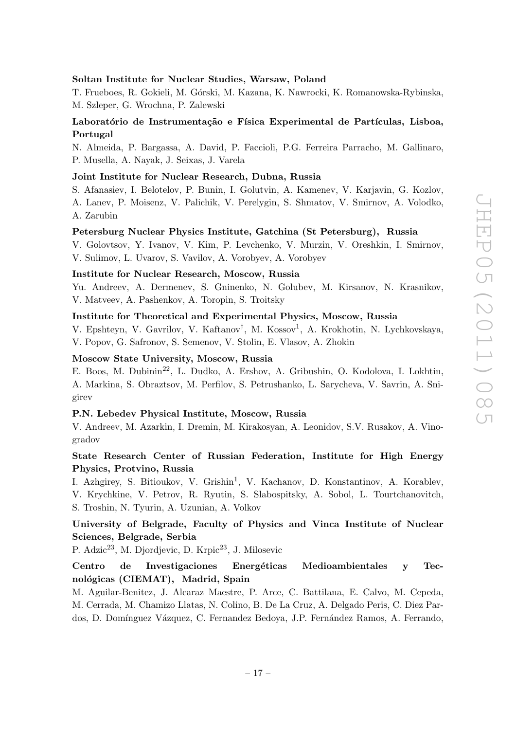#### Soltan Institute for Nuclear Studies, Warsaw, Poland

T. Frueboes, R. Gokieli, M. Górski, M. Kazana, K. Nawrocki, K. Romanowska-Rybinska, M. Szleper, G. Wrochna, P. Zalewski

### Laboratório de Instrumentação e Física Experimental de Partículas, Lisboa, Portugal

N. Almeida, P. Bargassa, A. David, P. Faccioli, P.G. Ferreira Parracho, M. Gallinaro, P. Musella, A. Nayak, J. Seixas, J. Varela

#### Joint Institute for Nuclear Research, Dubna, Russia

S. Afanasiev, I. Belotelov, P. Bunin, I. Golutvin, A. Kamenev, V. Karjavin, G. Kozlov,

A. Lanev, P. Moisenz, V. Palichik, V. Perelygin, S. Shmatov, V. Smirnov, A. Volodko, A. Zarubin

#### Petersburg Nuclear Physics Institute, Gatchina (St Petersburg), Russia

V. Golovtsov, Y. Ivanov, V. Kim, P. Levchenko, V. Murzin, V. Oreshkin, I. Smirnov, V. Sulimov, L. Uvarov, S. Vavilov, A. Vorobyev, A. Vorobyev

#### Institute for Nuclear Research, Moscow, Russia

Yu. Andreev, A. Dermenev, S. Gninenko, N. Golubev, M. Kirsanov, N. Krasnikov, V. Matveev, A. Pashenkov, A. Toropin, S. Troitsky

#### Institute for Theoretical and Experimental Physics, Moscow, Russia

V. Epshteyn, V. Gavrilov, V. Kaftanov<sup>†</sup>, M. Kossov<sup>1</sup>, A. Krokhotin, N. Lychkovskaya, V. Popov, G. Safronov, S. Semenov, V. Stolin, E. Vlasov, A. Zhokin

#### Moscow State University, Moscow, Russia

E. Boos, M. Dubinin<sup>22</sup>, L. Dudko, A. Ershov, A. Gribushin, O. Kodolova, I. Lokhtin, A. Markina, S. Obraztsov, M. Perfilov, S. Petrushanko, L. Sarycheva, V. Savrin, A. Snigirev

#### P.N. Lebedev Physical Institute, Moscow, Russia

V. Andreev, M. Azarkin, I. Dremin, M. Kirakosyan, A. Leonidov, S.V. Rusakov, A. Vinogradov

### State Research Center of Russian Federation, Institute for High Energy Physics, Protvino, Russia

I. Azhgirey, S. Bitioukov, V. Grishin<sup>1</sup>, V. Kachanov, D. Konstantinov, A. Korablev, V. Krychkine, V. Petrov, R. Ryutin, S. Slabospitsky, A. Sobol, L. Tourtchanovitch, S. Troshin, N. Tyurin, A. Uzunian, A. Volkov

### University of Belgrade, Faculty of Physics and Vinca Institute of Nuclear Sciences, Belgrade, Serbia

P. Adzic<sup>23</sup>, M. Djordjevic, D. Krpic<sup>23</sup>, J. Milosevic

### Centro de Investigaciones Energéticas Medioambientales y Tecnológicas (CIEMAT), Madrid, Spain

M. Aguilar-Benitez, J. Alcaraz Maestre, P. Arce, C. Battilana, E. Calvo, M. Cepeda, M. Cerrada, M. Chamizo Llatas, N. Colino, B. De La Cruz, A. Delgado Peris, C. Diez Pardos, D. Domínguez Vázquez, C. Fernandez Bedoya, J.P. Fernández Ramos, A. Ferrando,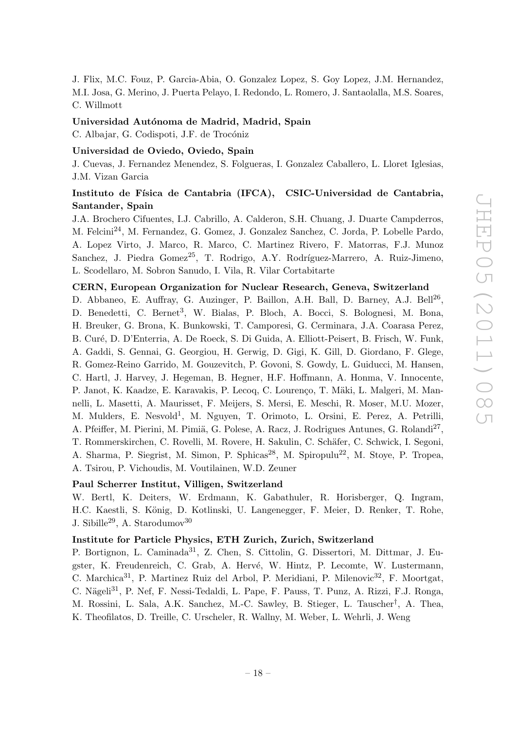J. Flix, M.C. Fouz, P. Garcia-Abia, O. Gonzalez Lopez, S. Goy Lopez, J.M. Hernandez, M.I. Josa, G. Merino, J. Puerta Pelayo, I. Redondo, L. Romero, J. Santaolalla, M.S. Soares, C. Willmott

#### Universidad Autónoma de Madrid, Madrid, Spain

C. Albajar, G. Codispoti, J.F. de Trocóniz

#### Universidad de Oviedo, Oviedo, Spain

J. Cuevas, J. Fernandez Menendez, S. Folgueras, I. Gonzalez Caballero, L. Lloret Iglesias, J.M. Vizan Garcia

### Instituto de Física de Cantabria (IFCA), CSIC-Universidad de Cantabria, Santander, Spain

J.A. Brochero Cifuentes, I.J. Cabrillo, A. Calderon, S.H. Chuang, J. Duarte Campderros, M. Felcini24, M. Fernandez, G. Gomez, J. Gonzalez Sanchez, C. Jorda, P. Lobelle Pardo, A. Lopez Virto, J. Marco, R. Marco, C. Martinez Rivero, F. Matorras, F.J. Munoz Sanchez, J. Piedra Gomez<sup>25</sup>, T. Rodrigo, A.Y. Rodríguez-Marrero, A. Ruiz-Jimeno, L. Scodellaro, M. Sobron Sanudo, I. Vila, R. Vilar Cortabitarte

#### CERN, European Organization for Nuclear Research, Geneva, Switzerland

D. Abbaneo, E. Auffray, G. Auzinger, P. Baillon, A.H. Ball, D. Barney, A.J. Bell<sup>26</sup>, D. Benedetti, C. Bernet<sup>3</sup>, W. Bialas, P. Bloch, A. Bocci, S. Bolognesi, M. Bona, H. Breuker, G. Brona, K. Bunkowski, T. Camporesi, G. Cerminara, J.A. Coarasa Perez, B. Curé, D. D'Enterria, A. De Roeck, S. Di Guida, A. Elliott-Peisert, B. Frisch, W. Funk, A. Gaddi, S. Gennai, G. Georgiou, H. Gerwig, D. Gigi, K. Gill, D. Giordano, F. Glege, R. Gomez-Reino Garrido, M. Gouzevitch, P. Govoni, S. Gowdy, L. Guiducci, M. Hansen, C. Hartl, J. Harvey, J. Hegeman, B. Hegner, H.F. Hoffmann, A. Honma, V. Innocente, P. Janot, K. Kaadze, E. Karavakis, P. Lecoq, C. Lourenço, T. Mäki, L. Malgeri, M. Mannelli, L. Masetti, A. Maurisset, F. Meijers, S. Mersi, E. Meschi, R. Moser, M.U. Mozer, M. Mulders, E. Nesvold<sup>1</sup>, M. Nguyen, T. Orimoto, L. Orsini, E. Perez, A. Petrilli, A. Pfeiffer, M. Pierini, M. Pimiä, G. Polese, A. Racz, J. Rodrigues Antunes, G. Rolandi<sup>27</sup>, T. Rommerskirchen, C. Rovelli, M. Rovere, H. Sakulin, C. Schäfer, C. Schwick, I. Segoni, A. Sharma, P. Siegrist, M. Simon, P. Sphicas<sup>28</sup>, M. Spiropulu<sup>22</sup>, M. Stoye, P. Tropea, A. Tsirou, P. Vichoudis, M. Voutilainen, W.D. Zeuner

#### Paul Scherrer Institut, Villigen, Switzerland

W. Bertl, K. Deiters, W. Erdmann, K. Gabathuler, R. Horisberger, Q. Ingram, H.C. Kaestli, S. König, D. Kotlinski, U. Langenegger, F. Meier, D. Renker, T. Rohe, J. Sibille<sup>29</sup>, A. Starodumov<sup>30</sup>

### Institute for Particle Physics, ETH Zurich, Zurich, Switzerland

P. Bortignon, L. Caminada<sup>31</sup>, Z. Chen, S. Cittolin, G. Dissertori, M. Dittmar, J. Eugster, K. Freudenreich, C. Grab, A. Hervé, W. Hintz, P. Lecomte, W. Lustermann, C. Marchica<sup>31</sup>, P. Martinez Ruiz del Arbol, P. Meridiani, P. Milenovic<sup>32</sup>, F. Moortgat, C. Nägeli<sup>31</sup>, P. Nef, F. Nessi-Tedaldi, L. Pape, F. Pauss, T. Punz, A. Rizzi, F.J. Ronga, M. Rossini, L. Sala, A.K. Sanchez, M.-C. Sawley, B. Stieger, L. Tauscher† , A. Thea, K. Theofilatos, D. Treille, C. Urscheler, R. Wallny, M. Weber, L. Wehrli, J. Weng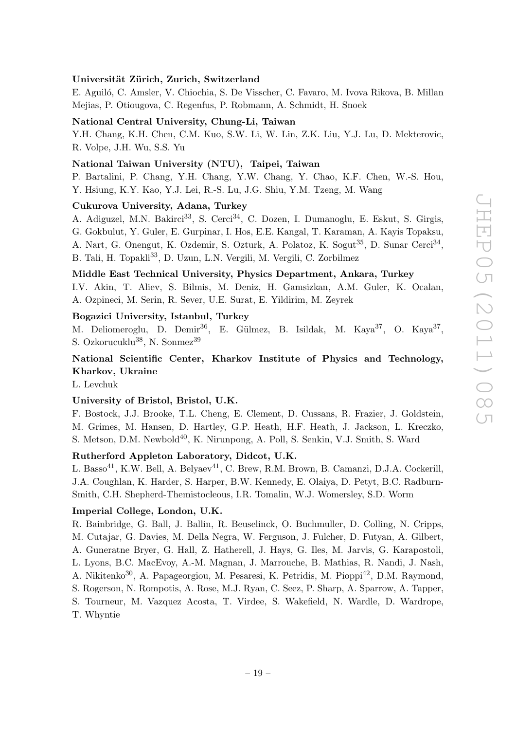#### Universität Zürich, Zurich, Switzerland

E. Aguiló, C. Amsler, V. Chiochia, S. De Visscher, C. Favaro, M. Ivova Rikova, B. Millan Mejias, P. Otiougova, C. Regenfus, P. Robmann, A. Schmidt, H. Snoek

#### National Central University, Chung-Li, Taiwan

Y.H. Chang, K.H. Chen, C.M. Kuo, S.W. Li, W. Lin, Z.K. Liu, Y.J. Lu, D. Mekterovic, R. Volpe, J.H. Wu, S.S. Yu

#### National Taiwan University (NTU), Taipei, Taiwan

P. Bartalini, P. Chang, Y.H. Chang, Y.W. Chang, Y. Chao, K.F. Chen, W.-S. Hou, Y. Hsiung, K.Y. Kao, Y.J. Lei, R.-S. Lu, J.G. Shiu, Y.M. Tzeng, M. Wang

### Cukurova University, Adana, Turkey

A. Adiguzel, M.N. Bakirci<sup>33</sup>, S. Cerci<sup>34</sup>, C. Dozen, I. Dumanoglu, E. Eskut, S. Girgis, G. Gokbulut, Y. Guler, E. Gurpinar, I. Hos, E.E. Kangal, T. Karaman, A. Kayis Topaksu, A. Nart, G. Onengut, K. Ozdemir, S. Ozturk, A. Polatoz, K. Sogut<sup>35</sup>, D. Sunar Cerci<sup>34</sup>, B. Tali, H. Topakli<sup>33</sup>, D. Uzun, L.N. Vergili, M. Vergili, C. Zorbilmez

#### Middle East Technical University, Physics Department, Ankara, Turkey

I.V. Akin, T. Aliev, S. Bilmis, M. Deniz, H. Gamsizkan, A.M. Guler, K. Ocalan, A. Ozpineci, M. Serin, R. Sever, U.E. Surat, E. Yildirim, M. Zeyrek

#### Bogazici University, Istanbul, Turkey

M. Deliomeroglu, D. Demir<sup>36</sup>, E. Gülmez, B. Isildak, M. Kaya<sup>37</sup>, O. Kaya<sup>37</sup>, S. Ozkorucuklu<sup>38</sup>, N. Sonmez<sup>39</sup>

### National Scientific Center, Kharkov Institute of Physics and Technology, Kharkov, Ukraine

L. Levchuk

#### University of Bristol, Bristol, U.K.

F. Bostock, J.J. Brooke, T.L. Cheng, E. Clement, D. Cussans, R. Frazier, J. Goldstein, M. Grimes, M. Hansen, D. Hartley, G.P. Heath, H.F. Heath, J. Jackson, L. Kreczko, S. Metson, D.M. Newbold<sup>40</sup>, K. Nirunpong, A. Poll, S. Senkin, V.J. Smith, S. Ward

### Rutherford Appleton Laboratory, Didcot, U.K.

L. Basso<sup>41</sup>, K.W. Bell, A. Belyaev<sup>41</sup>, C. Brew, R.M. Brown, B. Camanzi, D.J.A. Cockerill, J.A. Coughlan, K. Harder, S. Harper, B.W. Kennedy, E. Olaiya, D. Petyt, B.C. Radburn-Smith, C.H. Shepherd-Themistocleous, I.R. Tomalin, W.J. Womersley, S.D. Worm

#### Imperial College, London, U.K.

R. Bainbridge, G. Ball, J. Ballin, R. Beuselinck, O. Buchmuller, D. Colling, N. Cripps, M. Cutajar, G. Davies, M. Della Negra, W. Ferguson, J. Fulcher, D. Futyan, A. Gilbert, A. Guneratne Bryer, G. Hall, Z. Hatherell, J. Hays, G. Iles, M. Jarvis, G. Karapostoli, L. Lyons, B.C. MacEvoy, A.-M. Magnan, J. Marrouche, B. Mathias, R. Nandi, J. Nash, A. Nikitenko<sup>30</sup>, A. Papageorgiou, M. Pesaresi, K. Petridis, M. Pioppi<sup>42</sup>, D.M. Raymond, S. Rogerson, N. Rompotis, A. Rose, M.J. Ryan, C. Seez, P. Sharp, A. Sparrow, A. Tapper, S. Tourneur, M. Vazquez Acosta, T. Virdee, S. Wakefield, N. Wardle, D. Wardrope, T. Whyntie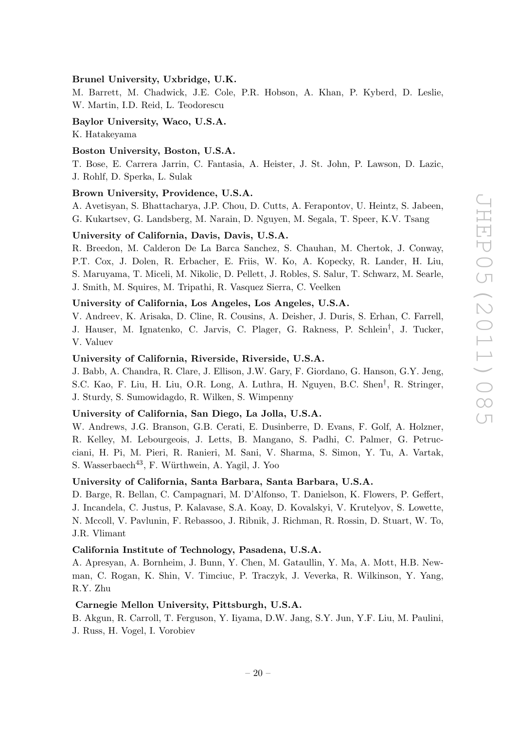#### Brunel University, Uxbridge, U.K.

M. Barrett, M. Chadwick, J.E. Cole, P.R. Hobson, A. Khan, P. Kyberd, D. Leslie, W. Martin, I.D. Reid, L. Teodorescu

Baylor University, Waco, U.S.A.

K. Hatakeyama

#### Boston University, Boston, U.S.A.

T. Bose, E. Carrera Jarrin, C. Fantasia, A. Heister, J. St. John, P. Lawson, D. Lazic, J. Rohlf, D. Sperka, L. Sulak

#### Brown University, Providence, U.S.A.

A. Avetisyan, S. Bhattacharya, J.P. Chou, D. Cutts, A. Ferapontov, U. Heintz, S. Jabeen, G. Kukartsev, G. Landsberg, M. Narain, D. Nguyen, M. Segala, T. Speer, K.V. Tsang

#### University of California, Davis, Davis, U.S.A.

R. Breedon, M. Calderon De La Barca Sanchez, S. Chauhan, M. Chertok, J. Conway, P.T. Cox, J. Dolen, R. Erbacher, E. Friis, W. Ko, A. Kopecky, R. Lander, H. Liu, S. Maruyama, T. Miceli, M. Nikolic, D. Pellett, J. Robles, S. Salur, T. Schwarz, M. Searle, J. Smith, M. Squires, M. Tripathi, R. Vasquez Sierra, C. Veelken

#### University of California, Los Angeles, Los Angeles, U.S.A.

V. Andreev, K. Arisaka, D. Cline, R. Cousins, A. Deisher, J. Duris, S. Erhan, C. Farrell, J. Hauser, M. Ignatenko, C. Jarvis, C. Plager, G. Rakness, P. Schlein† , J. Tucker, V. Valuev

#### University of California, Riverside, Riverside, U.S.A.

J. Babb, A. Chandra, R. Clare, J. Ellison, J.W. Gary, F. Giordano, G. Hanson, G.Y. Jeng, S.C. Kao, F. Liu, H. Liu, O.R. Long, A. Luthra, H. Nguyen, B.C. Shen† , R. Stringer, J. Sturdy, S. Sumowidagdo, R. Wilken, S. Wimpenny

#### University of California, San Diego, La Jolla, U.S.A.

W. Andrews, J.G. Branson, G.B. Cerati, E. Dusinberre, D. Evans, F. Golf, A. Holzner, R. Kelley, M. Lebourgeois, J. Letts, B. Mangano, S. Padhi, C. Palmer, G. Petrucciani, H. Pi, M. Pieri, R. Ranieri, M. Sani, V. Sharma, S. Simon, Y. Tu, A. Vartak, S. Wasserbaech<sup>43</sup>, F. Würthwein, A. Yagil, J. Yoo

#### University of California, Santa Barbara, Santa Barbara, U.S.A.

D. Barge, R. Bellan, C. Campagnari, M. D'Alfonso, T. Danielson, K. Flowers, P. Geffert, J. Incandela, C. Justus, P. Kalavase, S.A. Koay, D. Kovalskyi, V. Krutelyov, S. Lowette, N. Mccoll, V. Pavlunin, F. Rebassoo, J. Ribnik, J. Richman, R. Rossin, D. Stuart, W. To, J.R. Vlimant

### California Institute of Technology, Pasadena, U.S.A.

A. Apresyan, A. Bornheim, J. Bunn, Y. Chen, M. Gataullin, Y. Ma, A. Mott, H.B. Newman, C. Rogan, K. Shin, V. Timciuc, P. Traczyk, J. Veverka, R. Wilkinson, Y. Yang, R.Y. Zhu

#### Carnegie Mellon University, Pittsburgh, U.S.A.

B. Akgun, R. Carroll, T. Ferguson, Y. Iiyama, D.W. Jang, S.Y. Jun, Y.F. Liu, M. Paulini, J. Russ, H. Vogel, I. Vorobiev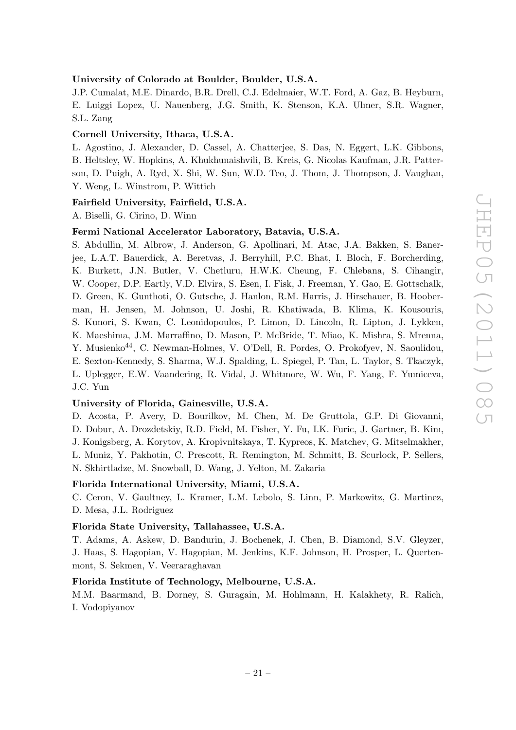#### University of Colorado at Boulder, Boulder, U.S.A.

J.P. Cumalat, M.E. Dinardo, B.R. Drell, C.J. Edelmaier, W.T. Ford, A. Gaz, B. Heyburn, E. Luiggi Lopez, U. Nauenberg, J.G. Smith, K. Stenson, K.A. Ulmer, S.R. Wagner, S.L. Zang

#### Cornell University, Ithaca, U.S.A.

L. Agostino, J. Alexander, D. Cassel, A. Chatterjee, S. Das, N. Eggert, L.K. Gibbons, B. Heltsley, W. Hopkins, A. Khukhunaishvili, B. Kreis, G. Nicolas Kaufman, J.R. Patterson, D. Puigh, A. Ryd, X. Shi, W. Sun, W.D. Teo, J. Thom, J. Thompson, J. Vaughan, Y. Weng, L. Winstrom, P. Wittich

#### Fairfield University, Fairfield, U.S.A.

A. Biselli, G. Cirino, D. Winn

### Fermi National Accelerator Laboratory, Batavia, U.S.A.

S. Abdullin, M. Albrow, J. Anderson, G. Apollinari, M. Atac, J.A. Bakken, S. Banerjee, L.A.T. Bauerdick, A. Beretvas, J. Berryhill, P.C. Bhat, I. Bloch, F. Borcherding, K. Burkett, J.N. Butler, V. Chetluru, H.W.K. Cheung, F. Chlebana, S. Cihangir, W. Cooper, D.P. Eartly, V.D. Elvira, S. Esen, I. Fisk, J. Freeman, Y. Gao, E. Gottschalk, D. Green, K. Gunthoti, O. Gutsche, J. Hanlon, R.M. Harris, J. Hirschauer, B. Hooberman, H. Jensen, M. Johnson, U. Joshi, R. Khatiwada, B. Klima, K. Kousouris, S. Kunori, S. Kwan, C. Leonidopoulos, P. Limon, D. Lincoln, R. Lipton, J. Lykken, K. Maeshima, J.M. Marraffino, D. Mason, P. McBride, T. Miao, K. Mishra, S. Mrenna, Y. Musienko<sup>44</sup>, C. Newman-Holmes, V. O'Dell, R. Pordes, O. Prokofyev, N. Saoulidou, E. Sexton-Kennedy, S. Sharma, W.J. Spalding, L. Spiegel, P. Tan, L. Taylor, S. Tkaczyk, L. Uplegger, E.W. Vaandering, R. Vidal, J. Whitmore, W. Wu, F. Yang, F. Yumiceva, J.C. Yun

#### University of Florida, Gainesville, U.S.A.

D. Acosta, P. Avery, D. Bourilkov, M. Chen, M. De Gruttola, G.P. Di Giovanni, D. Dobur, A. Drozdetskiy, R.D. Field, M. Fisher, Y. Fu, I.K. Furic, J. Gartner, B. Kim, J. Konigsberg, A. Korytov, A. Kropivnitskaya, T. Kypreos, K. Matchev, G. Mitselmakher, L. Muniz, Y. Pakhotin, C. Prescott, R. Remington, M. Schmitt, B. Scurlock, P. Sellers, N. Skhirtladze, M. Snowball, D. Wang, J. Yelton, M. Zakaria

#### Florida International University, Miami, U.S.A.

C. Ceron, V. Gaultney, L. Kramer, L.M. Lebolo, S. Linn, P. Markowitz, G. Martinez, D. Mesa, J.L. Rodriguez

#### Florida State University, Tallahassee, U.S.A.

T. Adams, A. Askew, D. Bandurin, J. Bochenek, J. Chen, B. Diamond, S.V. Gleyzer, J. Haas, S. Hagopian, V. Hagopian, M. Jenkins, K.F. Johnson, H. Prosper, L. Quertenmont, S. Sekmen, V. Veeraraghavan

#### Florida Institute of Technology, Melbourne, U.S.A.

M.M. Baarmand, B. Dorney, S. Guragain, M. Hohlmann, H. Kalakhety, R. Ralich, I. Vodopiyanov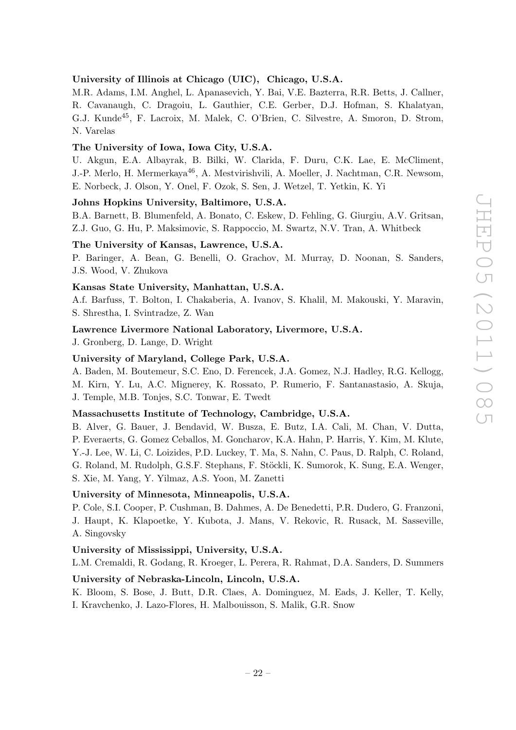#### University of Illinois at Chicago (UIC), Chicago, U.S.A.

M.R. Adams, I.M. Anghel, L. Apanasevich, Y. Bai, V.E. Bazterra, R.R. Betts, J. Callner, R. Cavanaugh, C. Dragoiu, L. Gauthier, C.E. Gerber, D.J. Hofman, S. Khalatyan, G.J. Kunde45, F. Lacroix, M. Malek, C. O'Brien, C. Silvestre, A. Smoron, D. Strom, N. Varelas

#### The University of Iowa, Iowa City, U.S.A.

U. Akgun, E.A. Albayrak, B. Bilki, W. Clarida, F. Duru, C.K. Lae, E. McCliment, J.-P. Merlo, H. Mermerkaya<sup>46</sup>, A. Mestvirishvili, A. Moeller, J. Nachtman, C.R. Newsom, E. Norbeck, J. Olson, Y. Onel, F. Ozok, S. Sen, J. Wetzel, T. Yetkin, K. Yi

#### Johns Hopkins University, Baltimore, U.S.A.

B.A. Barnett, B. Blumenfeld, A. Bonato, C. Eskew, D. Fehling, G. Giurgiu, A.V. Gritsan, Z.J. Guo, G. Hu, P. Maksimovic, S. Rappoccio, M. Swartz, N.V. Tran, A. Whitbeck

#### The University of Kansas, Lawrence, U.S.A.

P. Baringer, A. Bean, G. Benelli, O. Grachov, M. Murray, D. Noonan, S. Sanders, J.S. Wood, V. Zhukova

#### Kansas State University, Manhattan, U.S.A.

A.f. Barfuss, T. Bolton, I. Chakaberia, A. Ivanov, S. Khalil, M. Makouski, Y. Maravin, S. Shrestha, I. Svintradze, Z. Wan

Lawrence Livermore National Laboratory, Livermore, U.S.A.

J. Gronberg, D. Lange, D. Wright

#### University of Maryland, College Park, U.S.A.

A. Baden, M. Boutemeur, S.C. Eno, D. Ferencek, J.A. Gomez, N.J. Hadley, R.G. Kellogg, M. Kirn, Y. Lu, A.C. Mignerey, K. Rossato, P. Rumerio, F. Santanastasio, A. Skuja, J. Temple, M.B. Tonjes, S.C. Tonwar, E. Twedt

#### Massachusetts Institute of Technology, Cambridge, U.S.A.

B. Alver, G. Bauer, J. Bendavid, W. Busza, E. Butz, I.A. Cali, M. Chan, V. Dutta, P. Everaerts, G. Gomez Ceballos, M. Goncharov, K.A. Hahn, P. Harris, Y. Kim, M. Klute, Y.-J. Lee, W. Li, C. Loizides, P.D. Luckey, T. Ma, S. Nahn, C. Paus, D. Ralph, C. Roland, G. Roland, M. Rudolph, G.S.F. Stephans, F. Stöckli, K. Sumorok, K. Sung, E.A. Wenger, S. Xie, M. Yang, Y. Yilmaz, A.S. Yoon, M. Zanetti

#### University of Minnesota, Minneapolis, U.S.A.

P. Cole, S.I. Cooper, P. Cushman, B. Dahmes, A. De Benedetti, P.R. Dudero, G. Franzoni, J. Haupt, K. Klapoetke, Y. Kubota, J. Mans, V. Rekovic, R. Rusack, M. Sasseville, A. Singovsky

#### University of Mississippi, University, U.S.A.

L.M. Cremaldi, R. Godang, R. Kroeger, L. Perera, R. Rahmat, D.A. Sanders, D. Summers

#### University of Nebraska-Lincoln, Lincoln, U.S.A.

K. Bloom, S. Bose, J. Butt, D.R. Claes, A. Dominguez, M. Eads, J. Keller, T. Kelly, I. Kravchenko, J. Lazo-Flores, H. Malbouisson, S. Malik, G.R. Snow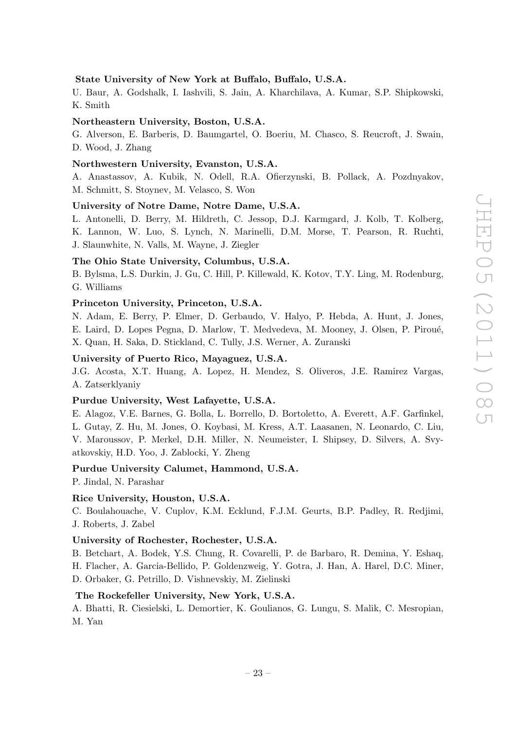#### State University of New York at Buffalo, Buffalo, U.S.A.

U. Baur, A. Godshalk, I. Iashvili, S. Jain, A. Kharchilava, A. Kumar, S.P. Shipkowski, K. Smith

#### Northeastern University, Boston, U.S.A.

G. Alverson, E. Barberis, D. Baumgartel, O. Boeriu, M. Chasco, S. Reucroft, J. Swain, D. Wood, J. Zhang

#### Northwestern University, Evanston, U.S.A.

A. Anastassov, A. Kubik, N. Odell, R.A. Ofierzynski, B. Pollack, A. Pozdnyakov, M. Schmitt, S. Stoynev, M. Velasco, S. Won

#### University of Notre Dame, Notre Dame, U.S.A.

L. Antonelli, D. Berry, M. Hildreth, C. Jessop, D.J. Karmgard, J. Kolb, T. Kolberg, K. Lannon, W. Luo, S. Lynch, N. Marinelli, D.M. Morse, T. Pearson, R. Ruchti, J. Slaunwhite, N. Valls, M. Wayne, J. Ziegler

#### The Ohio State University, Columbus, U.S.A.

B. Bylsma, L.S. Durkin, J. Gu, C. Hill, P. Killewald, K. Kotov, T.Y. Ling, M. Rodenburg, G. Williams

#### Princeton University, Princeton, U.S.A.

N. Adam, E. Berry, P. Elmer, D. Gerbaudo, V. Halyo, P. Hebda, A. Hunt, J. Jones, E. Laird, D. Lopes Pegna, D. Marlow, T. Medvedeva, M. Mooney, J. Olsen, P. Piroué, X. Quan, H. Saka, D. Stickland, C. Tully, J.S. Werner, A. Zuranski

#### University of Puerto Rico, Mayaguez, U.S.A.

J.G. Acosta, X.T. Huang, A. Lopez, H. Mendez, S. Oliveros, J.E. Ramirez Vargas, A. Zatserklyaniy

#### Purdue University, West Lafayette, U.S.A.

E. Alagoz, V.E. Barnes, G. Bolla, L. Borrello, D. Bortoletto, A. Everett, A.F. Garfinkel, L. Gutay, Z. Hu, M. Jones, O. Koybasi, M. Kress, A.T. Laasanen, N. Leonardo, C. Liu, V. Maroussov, P. Merkel, D.H. Miller, N. Neumeister, I. Shipsey, D. Silvers, A. Svyatkovskiy, H.D. Yoo, J. Zablocki, Y. Zheng

#### Purdue University Calumet, Hammond, U.S.A.

P. Jindal, N. Parashar

#### Rice University, Houston, U.S.A.

C. Boulahouache, V. Cuplov, K.M. Ecklund, F.J.M. Geurts, B.P. Padley, R. Redjimi, J. Roberts, J. Zabel

#### University of Rochester, Rochester, U.S.A.

B. Betchart, A. Bodek, Y.S. Chung, R. Covarelli, P. de Barbaro, R. Demina, Y. Eshaq, H. Flacher, A. Garcia-Bellido, P. Goldenzweig, Y. Gotra, J. Han, A. Harel, D.C. Miner,

D. Orbaker, G. Petrillo, D. Vishnevskiy, M. Zielinski

#### The Rockefeller University, New York, U.S.A.

A. Bhatti, R. Ciesielski, L. Demortier, K. Goulianos, G. Lungu, S. Malik, C. Mesropian, M. Yan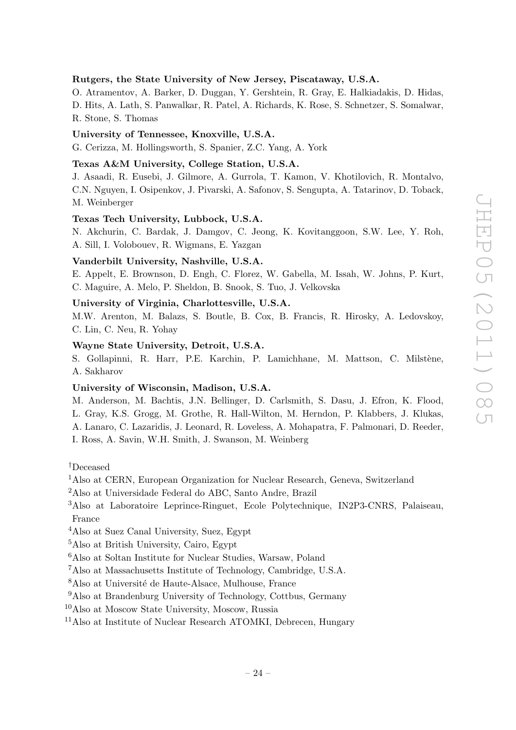#### Rutgers, the State University of New Jersey, Piscataway, U.S.A.

O. Atramentov, A. Barker, D. Duggan, Y. Gershtein, R. Gray, E. Halkiadakis, D. Hidas, D. Hits, A. Lath, S. Panwalkar, R. Patel, A. Richards, K. Rose, S. Schnetzer, S. Somalwar, R. Stone, S. Thomas

#### University of Tennessee, Knoxville, U.S.A.

G. Cerizza, M. Hollingsworth, S. Spanier, Z.C. Yang, A. York

#### Texas A&M University, College Station, U.S.A.

J. Asaadi, R. Eusebi, J. Gilmore, A. Gurrola, T. Kamon, V. Khotilovich, R. Montalvo, C.N. Nguyen, I. Osipenkov, J. Pivarski, A. Safonov, S. Sengupta, A. Tatarinov, D. Toback, M. Weinberger

#### Texas Tech University, Lubbock, U.S.A.

N. Akchurin, C. Bardak, J. Damgov, C. Jeong, K. Kovitanggoon, S.W. Lee, Y. Roh, A. Sill, I. Volobouev, R. Wigmans, E. Yazgan

#### Vanderbilt University, Nashville, U.S.A.

E. Appelt, E. Brownson, D. Engh, C. Florez, W. Gabella, M. Issah, W. Johns, P. Kurt, C. Maguire, A. Melo, P. Sheldon, B. Snook, S. Tuo, J. Velkovska

#### University of Virginia, Charlottesville, U.S.A.

M.W. Arenton, M. Balazs, S. Boutle, B. Cox, B. Francis, R. Hirosky, A. Ledovskoy, C. Lin, C. Neu, R. Yohay

#### Wayne State University, Detroit, U.S.A.

S. Gollapinni, R. Harr, P.E. Karchin, P. Lamichhane, M. Mattson, C. Milstène, A. Sakharov

#### University of Wisconsin, Madison, U.S.A.

M. Anderson, M. Bachtis, J.N. Bellinger, D. Carlsmith, S. Dasu, J. Efron, K. Flood, L. Gray, K.S. Grogg, M. Grothe, R. Hall-Wilton, M. Herndon, P. Klabbers, J. Klukas, A. Lanaro, C. Lazaridis, J. Leonard, R. Loveless, A. Mohapatra, F. Palmonari, D. Reeder, I. Ross, A. Savin, W.H. Smith, J. Swanson, M. Weinberg

†Deceased

<sup>1</sup>Also at CERN, European Organization for Nuclear Research, Geneva, Switzerland

<sup>2</sup>Also at Universidade Federal do ABC, Santo Andre, Brazil

<sup>3</sup>Also at Laboratoire Leprince-Ringuet, Ecole Polytechnique, IN2P3-CNRS, Palaiseau, France

- <sup>4</sup>Also at Suez Canal University, Suez, Egypt
- <sup>5</sup>Also at British University, Cairo, Egypt
- <sup>6</sup>Also at Soltan Institute for Nuclear Studies, Warsaw, Poland
- <sup>7</sup>Also at Massachusetts Institute of Technology, Cambridge, U.S.A.
- <sup>8</sup>Also at Université de Haute-Alsace, Mulhouse, France
- <sup>9</sup>Also at Brandenburg University of Technology, Cottbus, Germany
- <sup>10</sup>Also at Moscow State University, Moscow, Russia

<sup>11</sup>Also at Institute of Nuclear Research ATOMKI, Debrecen, Hungary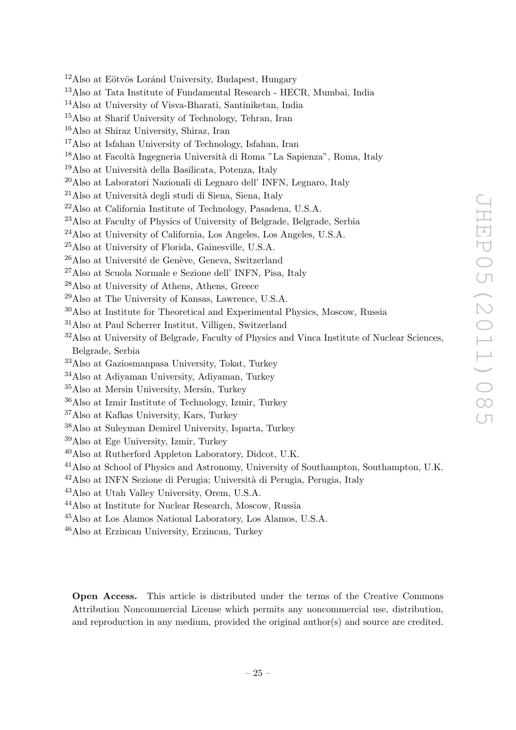- Also at Eötvös Loránd University, Budapest, Hungary
- Also at Tata Institute of Fundamental Research HECR, Mumbai, India
- Also at University of Visva-Bharati, Santiniketan, India
- Also at Sharif University of Technology, Tehran, Iran
- Also at Shiraz University, Shiraz, Iran
- Also at Isfahan University of Technology, Isfahan, Iran
- <sup>18</sup>Also at Facoltà Ingegneria Università di Roma "La Sapienza", Roma, Italy
- <sup>19</sup>Also at Università della Basilicata, Potenza, Italy
- Also at Laboratori Nazionali di Legnaro dell' INFN, Legnaro, Italy
- <sup>21</sup>Also at Università degli studi di Siena, Siena, Italy
- Also at California Institute of Technology, Pasadena, U.S.A.
- Also at Faculty of Physics of University of Belgrade, Belgrade, Serbia
- Also at University of California, Los Angeles, Los Angeles, U.S.A.
- Also at University of Florida, Gainesville, U.S.A.
- Also at Université de Genève, Geneva, Switzerland
- Also at Scuola Normale e Sezione dell' INFN, Pisa, Italy
- Also at University of Athens, Athens, Greece
- Also at The University of Kansas, Lawrence, U.S.A.
- Also at Institute for Theoretical and Experimental Physics, Moscow, Russia
- Also at Paul Scherrer Institut, Villigen, Switzerland
- <sup>32</sup>Also at University of Belgrade, Faculty of Physics and Vinca Institute of Nuclear Sciences, Belgrade, Serbia
- Also at Gaziosmanpasa University, Tokat, Turkey
- Also at Adiyaman University, Adiyaman, Turkey
- Also at Mersin University, Mersin, Turkey
- Also at Izmir Institute of Technology, Izmir, Turkey
- Also at Kafkas University, Kars, Turkey
- Also at Suleyman Demirel University, Isparta, Turkey
- Also at Ege University, Izmir, Turkey
- Also at Rutherford Appleton Laboratory, Didcot, U.K.
- Also at School of Physics and Astronomy, University of Southampton, Southampton, U.K.
- Also at INFN Sezione di Perugia; Università di Perugia, Perugia, Italy
- Also at Utah Valley University, Orem, U.S.A.
- Also at Institute for Nuclear Research, Moscow, Russia
- Also at Los Alamos National Laboratory, Los Alamos, U.S.A.
- Also at Erzincan University, Erzincan, Turkey

Open Access. This article is distributed under the terms of the Creative Commons Attribution Noncommercial License which permits any noncommercial use, distribution, and reproduction in any medium, provided the original author(s) and source are credited.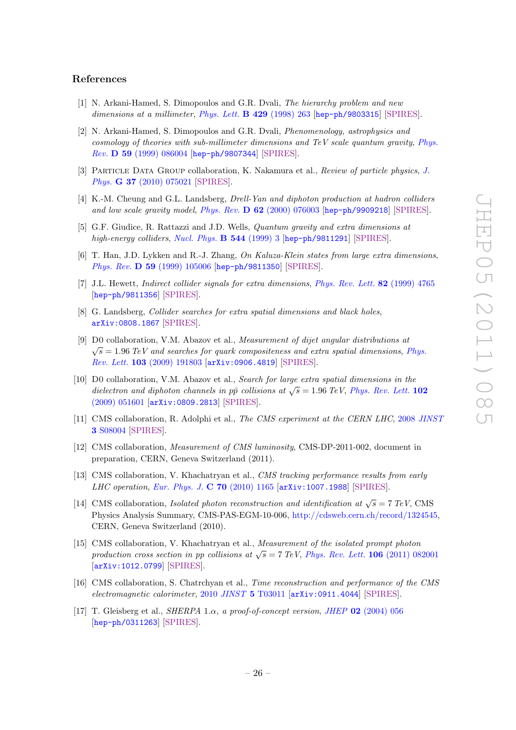#### References

- <span id="page-26-0"></span>[1] N. Arkani-Hamed, S. Dimopoulos and G.R. Dvali, The hierarchy problem and new dimensions at a millimeter, [Phys. Lett.](http://dx.doi.org/10.1016/S0370-2693(98)00466-3) **B 429** (1998) 263 [[hep-ph/9803315](http://arxiv.org/abs/hep-ph/9803315)] [\[SPIRES\]](http://www-spires.slac.stanford.edu/spires/find/hep/www?eprint=HEP-PH/9803315).
- <span id="page-26-1"></span>[2] N. Arkani-Hamed, S. Dimopoulos and G.R. Dvali, Phenomenology, astrophysics and cosmology of theories with sub-millimeter dimensions and TeV scale quantum gravity, [Phys.](http://dx.doi.org/10.1103/PhysRevD.59.086004) Rev. D 59 [\(1999\) 086004](http://dx.doi.org/10.1103/PhysRevD.59.086004) [[hep-ph/9807344](http://arxiv.org/abs/hep-ph/9807344)] [\[SPIRES\]](http://www-spires.slac.stanford.edu/spires/find/hep/www?eprint=HEP-PH/9807344).
- <span id="page-26-2"></span>[3] Particle Data Group collaboration, K. Nakamura et al., Review of particle physics, [J.](http://dx.doi.org/10.1088/0954-3899/37/7A/075021) Phys. G 37 [\(2010\) 075021](http://dx.doi.org/10.1088/0954-3899/37/7A/075021) [\[SPIRES\]](http://www-spires.slac.stanford.edu/spires/find/hep/www?j=JPHGB,G37,075021).
- <span id="page-26-3"></span>[4] K.-M. Cheung and G.L. Landsberg, *Drell-Yan and diphoton production at hadron colliders* and low scale gravity model, Phys. Rev. D 62 [\(2000\) 076003](http://dx.doi.org/10.1103/PhysRevD.62.076003) [[hep-ph/9909218](http://arxiv.org/abs/hep-ph/9909218)] [\[SPIRES\]](http://www-spires.slac.stanford.edu/spires/find/hep/www?eprint=HEP-PH/9909218).
- <span id="page-26-4"></span>[5] G.F. Giudice, R. Rattazzi and J.D. Wells, Quantum gravity and extra dimensions at high-energy colliders, [Nucl. Phys.](http://dx.doi.org/10.1016/S0550-3213(99)00044-9) **B 544** (1999) 3 [[hep-ph/9811291](http://arxiv.org/abs/hep-ph/9811291)] [\[SPIRES\]](http://www-spires.slac.stanford.edu/spires/find/hep/www?eprint=HEP-PH/9811291).
- <span id="page-26-5"></span>[6] T. Han, J.D. Lykken and R.-J. Zhang, On Kaluza-Klein states from large extra dimensions, Phys. Rev. D 59 [\(1999\) 105006](http://dx.doi.org/10.1103/PhysRevD.59.105006) [[hep-ph/9811350](http://arxiv.org/abs/hep-ph/9811350)] [\[SPIRES\]](http://www-spires.slac.stanford.edu/spires/find/hep/www?eprint=HEP-PH/9811350).
- <span id="page-26-6"></span>[7] J.L. Hewett, *Indirect collider signals for extra dimensions*, *[Phys. Rev. Lett.](http://dx.doi.org/10.1103/PhysRevLett.82.4765)* **82** (1999) 4765 [[hep-ph/9811356](http://arxiv.org/abs/hep-ph/9811356)] [\[SPIRES\]](http://www-spires.slac.stanford.edu/spires/find/hep/www?eprint=HEP-PH/9811356).
- <span id="page-26-7"></span>[8] G. Landsberg, Collider searches for extra spatial dimensions and black holes, [arXiv:0808.1867](http://arxiv.org/abs/0808.1867) [\[SPIRES\]](http://www-spires.slac.stanford.edu/spires/find/hep/www?eprint=0808.1867).
- <span id="page-26-8"></span>[9] D0 collaboration, V.M. Abazov et al., Measurement of dijet angular distributions at  $\sqrt{s} = 1.96 \text{ TeV}$  and searches for quark compositeness and extra spatial dimensions, [Phys.](http://dx.doi.org/10.1103/PhysRevLett.103.191803) Rev. Lett. 103 [\(2009\) 191803](http://dx.doi.org/10.1103/PhysRevLett.103.191803) [[arXiv:0906.4819](http://arxiv.org/abs/0906.4819)] [\[SPIRES\]](http://www-spires.slac.stanford.edu/spires/find/hep/www?eprint=0906.4819).
- <span id="page-26-9"></span>[10] D0 collaboration, V.M. Abazov et al., Search for large extra spatial dimensions in the  $\sigma$  conditions and diphoton channels in pp $\bar{p}$  collisions at  $\sqrt{s} = 1.96 \text{ TeV}$ , [Phys. Rev. Lett.](http://dx.doi.org/10.1103/PhysRevLett.102.051601) 102 [\(2009\) 051601](http://dx.doi.org/10.1103/PhysRevLett.102.051601) [[arXiv:0809.2813](http://arxiv.org/abs/0809.2813)] [\[SPIRES\]](http://www-spires.slac.stanford.edu/spires/find/hep/www?eprint=0809.2813).
- <span id="page-26-10"></span>[11] CMS collaboration, R. Adolphi et al., The CMS experiment at the CERN LHC, 2008 [JINST](http://dx.doi.org/10.1088/1748-0221/3/08/S08004) 3 [S08004](http://dx.doi.org/10.1088/1748-0221/3/08/S08004) [\[SPIRES\]](http://www-spires.slac.stanford.edu/spires/find/hep/www?j=JINST,3,S08004).
- <span id="page-26-11"></span>[12] CMS collaboration, Measurement of CMS luminosity, CMS-DP-2011-002, document in preparation, CERN, Geneva Switzerland (2011).
- <span id="page-26-12"></span>[13] CMS collaboration, V. Khachatryan et al., *CMS tracking performance results from early* LHC operation, [Eur. Phys. J.](http://dx.doi.org/10.1140/epjc/s10052-010-1491-3) C 70 (2010) 1165 [[arXiv:1007.1988](http://arxiv.org/abs/1007.1988)] [\[SPIRES\]](http://www-spires.slac.stanford.edu/spires/find/hep/www?eprint=1007.1988).
- <span id="page-26-13"></span>[14] CMS collaboration, *Isolated photon reconstruction and identification at*  $\sqrt{s} = 7 \text{ TeV}$ , CMS Physics Analysis Summary, CMS-PAS-EGM-10-006, [http://cdsweb.cern.ch/record/1324545,](http://cdsweb.cern.ch/record/1324545) CERN, Geneva Switzerland (2010).
- <span id="page-26-14"></span>[15] CMS collaboration, V. Khachatryan et al., Measurement of the isolated prompt photon production cross section in pp collisions at  $\sqrt{s} = 7$  TeV, [Phys. Rev. Lett.](http://dx.doi.org/10.1103/PhysRevLett.106.082001) 106 (2011) 082001 [[arXiv:1012.0799](http://arxiv.org/abs/1012.0799)] [\[SPIRES\]](http://www-spires.slac.stanford.edu/spires/find/hep/www?eprint=1012.0799).
- <span id="page-26-15"></span>[16] CMS collaboration, S. Chatrchyan et al., Time reconstruction and performance of the CMS electromagnetic calorimeter, 2010 JINST 5 [T03011](http://dx.doi.org/10.1088/1748-0221/5/03/T03011) [[arXiv:0911.4044](http://arxiv.org/abs/0911.4044)] [\[SPIRES\]](http://www-spires.slac.stanford.edu/spires/find/hep/www?eprint=0911.4044).
- <span id="page-26-16"></span>[17] T. Gleisberg et al., SHERPA 1. $\alpha$ , a proof-of-concept version, JHEP 02 [\(2004\) 056](http://dx.doi.org/10.1088/1126-6708/2004/02/056) [[hep-ph/0311263](http://arxiv.org/abs/hep-ph/0311263)] [\[SPIRES\]](http://www-spires.slac.stanford.edu/spires/find/hep/www?eprint=HEP-PH/0311263).